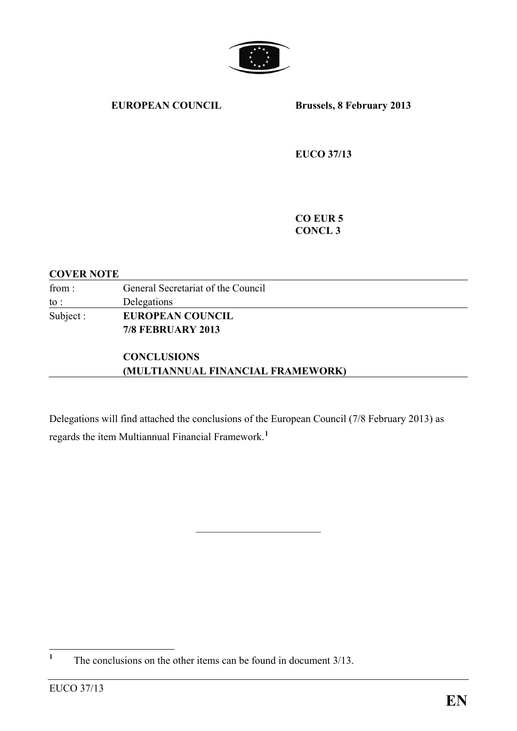

**EUROPEAN COUNCIL Brussels, 8 February 2013**

**EUCO 37/13**

**CO EUR 5 CONCL 3**

#### **COVER NOTE**

| from:    | General Secretariat of the Council |
|----------|------------------------------------|
| to :     | Delegations                        |
| Subject: | <b>EUROPEAN COUNCIL</b>            |
|          | <b>7/8 FEBRUARY 2013</b>           |
|          | <b>CONCLUSIONS</b>                 |

**(MULTIANNUAL FINANCIAL FRAMEWORK)**

Delegations will find attached the conclusions of the European Council (7/8 February 2013) as regards the item Multiannual Financial Framework. **[1](#page-0-0)**

 $\overline{\phantom{a}}$  , which is a set of the set of the set of the set of the set of the set of the set of the set of the set of the set of the set of the set of the set of the set of the set of the set of the set of the set of th

<span id="page-0-0"></span><sup>&</sup>lt;sup>1</sup> The conclusions on the other items can be found in document 3/13.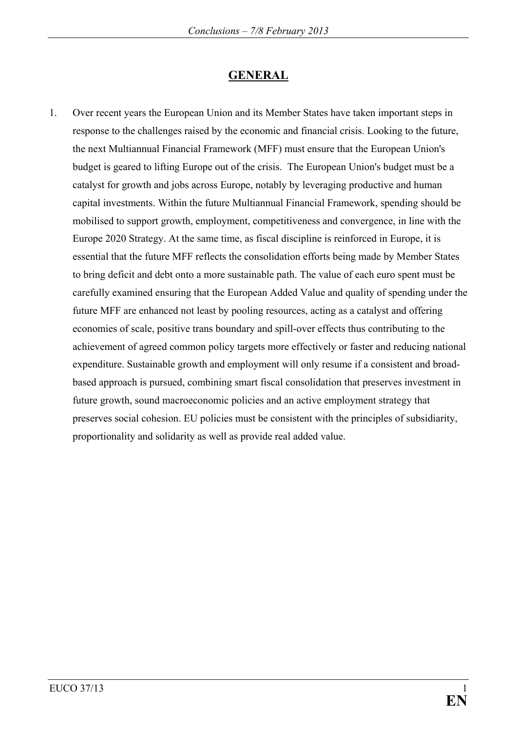# **GENERAL**

1. Over recent years the European Union and its Member States have taken important steps in response to the challenges raised by the economic and financial crisis. Looking to the future, the next Multiannual Financial Framework (MFF) must ensure that the European Union's budget is geared to lifting Europe out of the crisis. The European Union's budget must be a catalyst for growth and jobs across Europe, notably by leveraging productive and human capital investments. Within the future Multiannual Financial Framework, spending should be mobilised to support growth, employment, competitiveness and convergence, in line with the Europe 2020 Strategy. At the same time, as fiscal discipline is reinforced in Europe, it is essential that the future MFF reflects the consolidation efforts being made by Member States to bring deficit and debt onto a more sustainable path. The value of each euro spent must be carefully examined ensuring that the European Added Value and quality of spending under the future MFF are enhanced not least by pooling resources, acting as a catalyst and offering economies of scale, positive trans boundary and spill-over effects thus contributing to the achievement of agreed common policy targets more effectively or faster and reducing national expenditure. Sustainable growth and employment will only resume if a consistent and broadbased approach is pursued, combining smart fiscal consolidation that preserves investment in future growth, sound macroeconomic policies and an active employment strategy that preserves social cohesion. EU policies must be consistent with the principles of subsidiarity, proportionality and solidarity as well as provide real added value.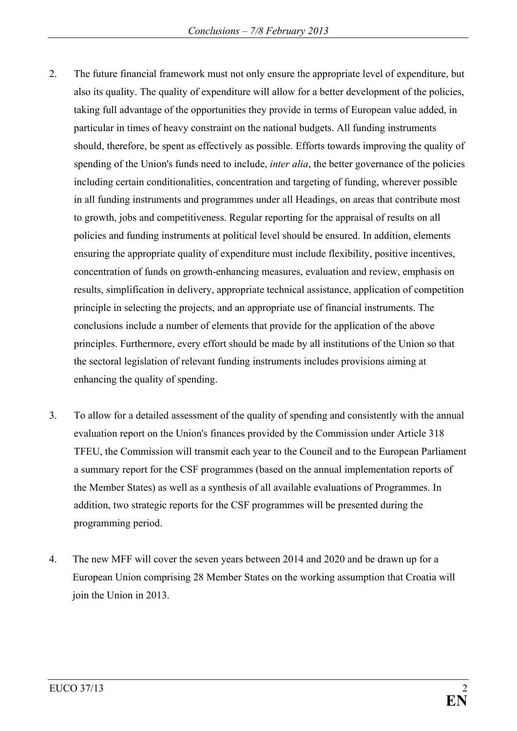- 2. The future financial framework must not only ensure the appropriate level of expenditure, but also its quality. The quality of expenditure will allow for a better development of the policies, taking full advantage of the opportunities they provide in terms of European value added, in particular in times of heavy constraint on the national budgets. All funding instruments should, therefore, be spent as effectively as possible. Efforts towards improving the quality of spending of the Union's funds need to include, *inter alia*, the better governance of the policies including certain conditionalities, concentration and targeting of funding, wherever possible in all funding instruments and programmes under all Headings, on areas that contribute most to growth, jobs and competitiveness. Regular reporting for the appraisal of results on all policies and funding instruments at political level should be ensured. In addition, elements ensuring the appropriate quality of expenditure must include flexibility, positive incentives, concentration of funds on growth-enhancing measures, evaluation and review, emphasis on results, simplification in delivery, appropriate technical assistance, application of competition principle in selecting the projects, and an appropriate use of financial instruments. The conclusions include a number of elements that provide for the application of the above principles. Furthermore, every effort should be made by all institutions of the Union so that the sectoral legislation of relevant funding instruments includes provisions aiming at enhancing the quality of spending.
- 3. To allow for a detailed assessment of the quality of spending and consistently with the annual evaluation report on the Union's finances provided by the Commission under Article 318 TFEU, the Commission will transmit each year to the Council and to the European Parliament a summary report for the CSF programmes (based on the annual implementation reports of the Member States) as well as a synthesis of all available evaluations of Programmes. In addition, two strategic reports for the CSF programmes will be presented during the programming period.
- 4. The new MFF will cover the seven years between 2014 and 2020 and be drawn up for a European Union comprising 28 Member States on the working assumption that Croatia will join the Union in 2013.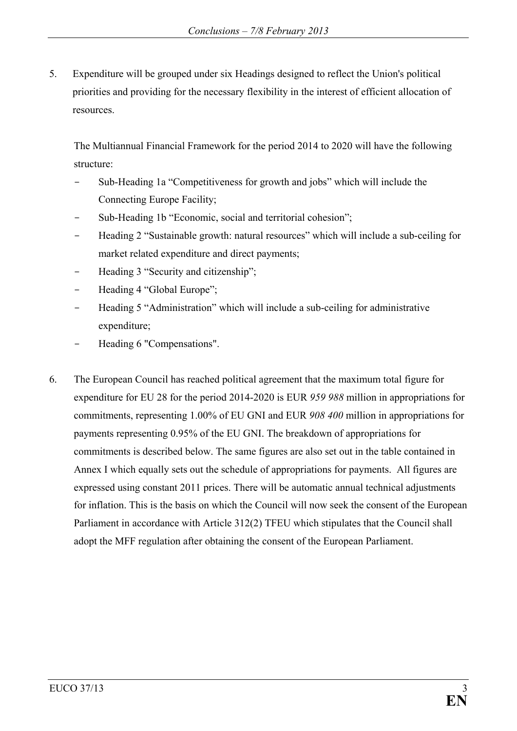5. Expenditure will be grouped under six Headings designed to reflect the Union's political priorities and providing for the necessary flexibility in the interest of efficient allocation of resources.

The Multiannual Financial Framework for the period 2014 to 2020 will have the following structure:

- Sub-Heading 1a "Competitiveness for growth and jobs" which will include the Connecting Europe Facility;
- Sub-Heading 1b "Economic, social and territorial cohesion";
- Heading 2 "Sustainable growth: natural resources" which will include a sub-ceiling for market related expenditure and direct payments;
- Heading 3 "Security and citizenship";
- Heading 4 "Global Europe";
- Heading 5 "Administration" which will include a sub-ceiling for administrative expenditure;
- Heading 6 "Compensations".
- 6. The European Council has reached political agreement that the maximum total figure for expenditure for EU 28 for the period 2014-2020 is EUR *959 988* million in appropriations for commitments, representing 1.00% of EU GNI and EUR *908 400* million in appropriations for payments representing 0.95% of the EU GNI. The breakdown of appropriations for commitments is described below. The same figures are also set out in the table contained in Annex I which equally sets out the schedule of appropriations for payments. All figures are expressed using constant 2011 prices. There will be automatic annual technical adjustments for inflation. This is the basis on which the Council will now seek the consent of the European Parliament in accordance with Article 312(2) TFEU which stipulates that the Council shall adopt the MFF regulation after obtaining the consent of the European Parliament.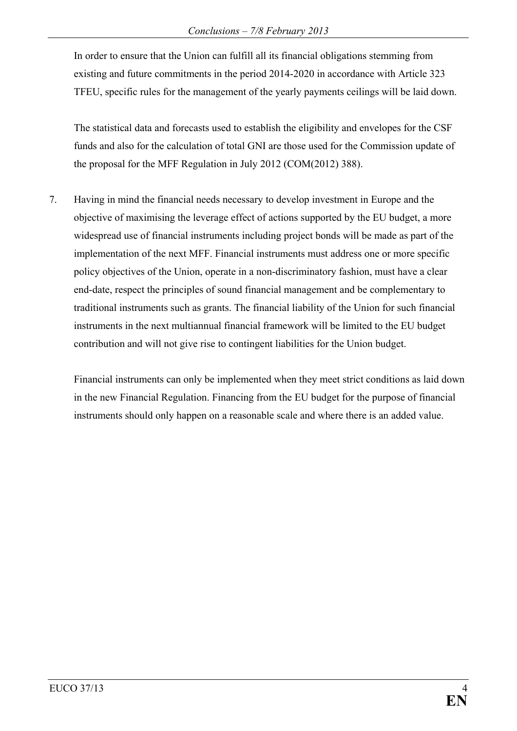In order to ensure that the Union can fulfill all its financial obligations stemming from existing and future commitments in the period 2014-2020 in accordance with Article 323 TFEU, specific rules for the management of the yearly payments ceilings will be laid down.

The statistical data and forecasts used to establish the eligibility and envelopes for the CSF funds and also for the calculation of total GNI are those used for the Commission update of the proposal for the MFF Regulation in July 2012 (COM(2012) 388).

7. Having in mind the financial needs necessary to develop investment in Europe and the objective of maximising the leverage effect of actions supported by the EU budget, a more widespread use of financial instruments including project bonds will be made as part of the implementation of the next MFF. Financial instruments must address one or more specific policy objectives of the Union, operate in a non-discriminatory fashion, must have a clear end-date, respect the principles of sound financial management and be complementary to traditional instruments such as grants. The financial liability of the Union for such financial instruments in the next multiannual financial framework will be limited to the EU budget contribution and will not give rise to contingent liabilities for the Union budget.

Financial instruments can only be implemented when they meet strict conditions as laid down in the new Financial Regulation. Financing from the EU budget for the purpose of financial instruments should only happen on a reasonable scale and where there is an added value.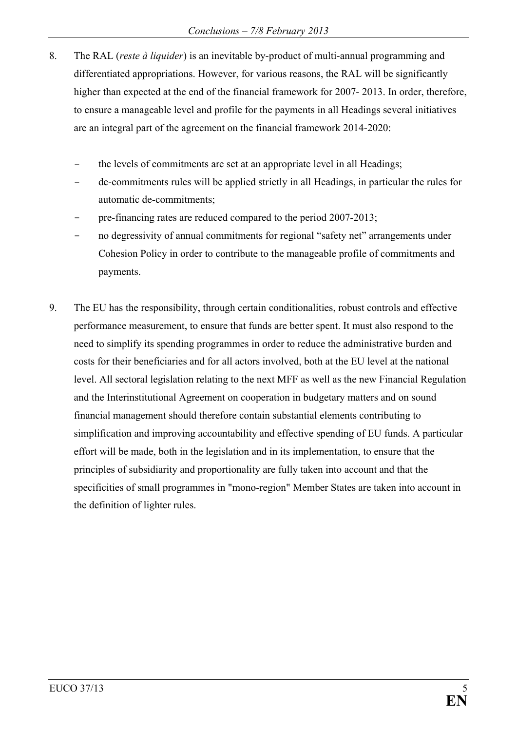- 8. The RAL (*reste à liquider*) is an inevitable by-product of multi-annual programming and differentiated appropriations. However, for various reasons, the RAL will be significantly higher than expected at the end of the financial framework for 2007-2013. In order, therefore, to ensure a manageable level and profile for the payments in all Headings several initiatives are an integral part of the agreement on the financial framework 2014-2020:
	- the levels of commitments are set at an appropriate level in all Headings;
	- de-commitments rules will be applied strictly in all Headings, in particular the rules for automatic de-commitments;
	- pre-financing rates are reduced compared to the period 2007-2013;
	- no degressivity of annual commitments for regional "safety net" arrangements under Cohesion Policy in order to contribute to the manageable profile of commitments and payments.
- 9. The EU has the responsibility, through certain conditionalities, robust controls and effective performance measurement, to ensure that funds are better spent. It must also respond to the need to simplify its spending programmes in order to reduce the administrative burden and costs for their beneficiaries and for all actors involved, both at the EU level at the national level. All sectoral legislation relating to the next MFF as well as the new Financial Regulation and the Interinstitutional Agreement on cooperation in budgetary matters and on sound financial management should therefore contain substantial elements contributing to simplification and improving accountability and effective spending of EU funds. A particular effort will be made, both in the legislation and in its implementation, to ensure that the principles of subsidiarity and proportionality are fully taken into account and that the specificities of small programmes in "mono-region" Member States are taken into account in the definition of lighter rules.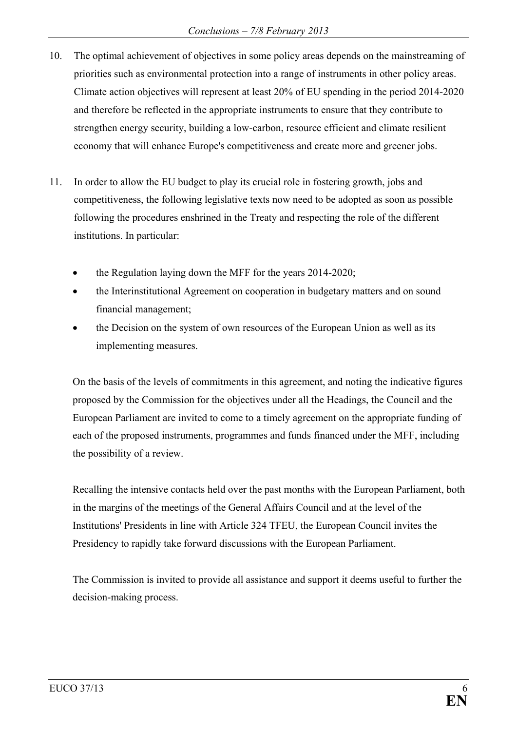- 10. The optimal achievement of objectives in some policy areas depends on the mainstreaming of priorities such as environmental protection into a range of instruments in other policy areas. Climate action objectives will represent at least 20% of EU spending in the period 2014-2020 and therefore be reflected in the appropriate instruments to ensure that they contribute to strengthen energy security, building a low-carbon, resource efficient and climate resilient economy that will enhance Europe's competitiveness and create more and greener jobs.
- 11. In order to allow the EU budget to play its crucial role in fostering growth, jobs and competitiveness, the following legislative texts now need to be adopted as soon as possible following the procedures enshrined in the Treaty and respecting the role of the different institutions. In particular:
	- the Regulation laying down the MFF for the years 2014-2020;
	- the Interinstitutional Agreement on cooperation in budgetary matters and on sound financial management;
	- the Decision on the system of own resources of the European Union as well as its implementing measures.

On the basis of the levels of commitments in this agreement, and noting the indicative figures proposed by the Commission for the objectives under all the Headings, the Council and the European Parliament are invited to come to a timely agreement on the appropriate funding of each of the proposed instruments, programmes and funds financed under the MFF, including the possibility of a review.

Recalling the intensive contacts held over the past months with the European Parliament, both in the margins of the meetings of the General Affairs Council and at the level of the Institutions' Presidents in line with Article 324 TFEU, the European Council invites the Presidency to rapidly take forward discussions with the European Parliament.

The Commission is invited to provide all assistance and support it deems useful to further the decision-making process.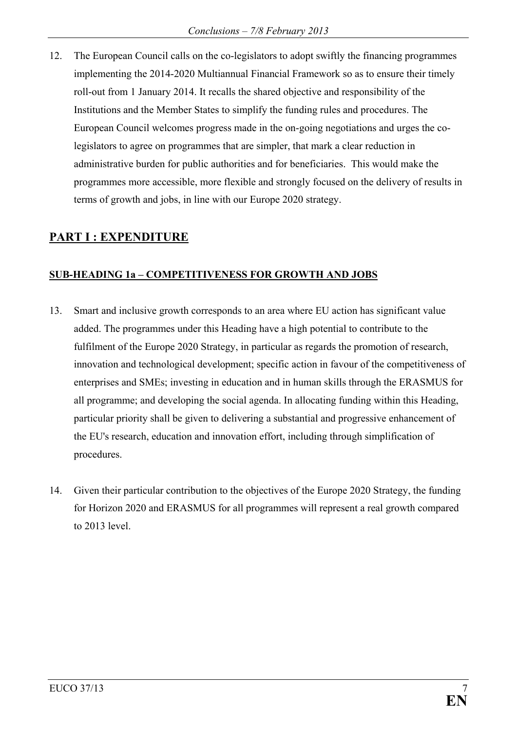12. The European Council calls on the co-legislators to adopt swiftly the financing programmes implementing the 2014-2020 Multiannual Financial Framework so as to ensure their timely roll-out from 1 January 2014. It recalls the shared objective and responsibility of the Institutions and the Member States to simplify the funding rules and procedures. The European Council welcomes progress made in the on-going negotiations and urges the colegislators to agree on programmes that are simpler, that mark a clear reduction in administrative burden for public authorities and for beneficiaries. This would make the programmes more accessible, more flexible and strongly focused on the delivery of results in terms of growth and jobs, in line with our Europe 2020 strategy.

# **PART I : EXPENDITURE**

### **SUB-HEADING 1a – COMPETITIVENESS FOR GROWTH AND JOBS**

- 13. Smart and inclusive growth corresponds to an area where EU action has significant value added. The programmes under this Heading have a high potential to contribute to the fulfilment of the Europe 2020 Strategy, in particular as regards the promotion of research, innovation and technological development; specific action in favour of the competitiveness of enterprises and SMEs; investing in education and in human skills through the ERASMUS for all programme; and developing the social agenda. In allocating funding within this Heading, particular priority shall be given to delivering a substantial and progressive enhancement of the EU's research, education and innovation effort, including through simplification of procedures.
- 14. Given their particular contribution to the objectives of the Europe 2020 Strategy, the funding for Horizon 2020 and ERASMUS for all programmes will represent a real growth compared to 2013 level.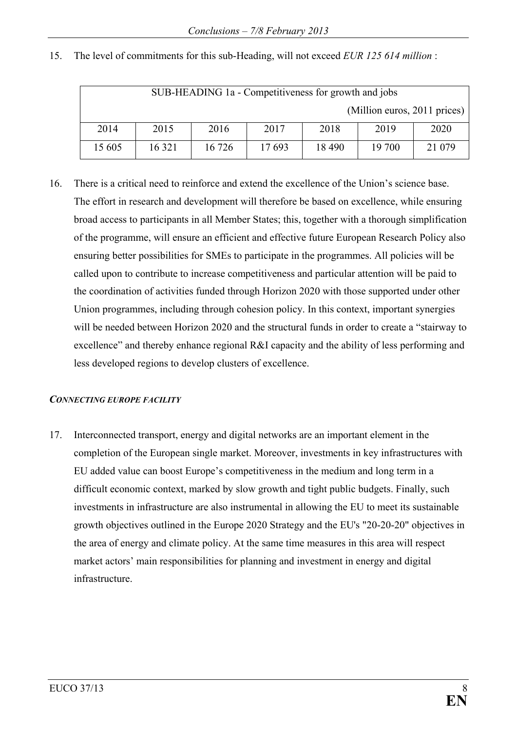| SUB-HEADING 1a - Competitiveness for growth and jobs |         |        |       |        |        |         |  |
|------------------------------------------------------|---------|--------|-------|--------|--------|---------|--|
| (Million euros, 2011 prices)                         |         |        |       |        |        |         |  |
| 2014                                                 | 2015    | 2016   | 2017  | 2018   | 2019   | 2020    |  |
| 15 605                                               | 16 3 21 | 16 726 | 17693 | 18 490 | 19 700 | 21 0 79 |  |

15. The level of commitments for this sub-Heading, will not exceed *EUR 125 614 million* :

16. There is a critical need to reinforce and extend the excellence of the Union's science base. The effort in research and development will therefore be based on excellence, while ensuring broad access to participants in all Member States; this, together with a thorough simplification of the programme, will ensure an efficient and effective future European Research Policy also ensuring better possibilities for SMEs to participate in the programmes. All policies will be called upon to contribute to increase competitiveness and particular attention will be paid to the coordination of activities funded through Horizon 2020 with those supported under other Union programmes, including through cohesion policy. In this context, important synergies will be needed between Horizon 2020 and the structural funds in order to create a "stairway to excellence" and thereby enhance regional R&I capacity and the ability of less performing and less developed regions to develop clusters of excellence.

#### *CONNECTING EUROPE FACILITY*

17. Interconnected transport, energy and digital networks are an important element in the completion of the European single market. Moreover, investments in key infrastructures with EU added value can boost Europe's competitiveness in the medium and long term in a difficult economic context, marked by slow growth and tight public budgets. Finally, such investments in infrastructure are also instrumental in allowing the EU to meet its sustainable growth objectives outlined in the Europe 2020 Strategy and the EU's "20-20-20" objectives in the area of energy and climate policy. At the same time measures in this area will respect market actors' main responsibilities for planning and investment in energy and digital infrastructure.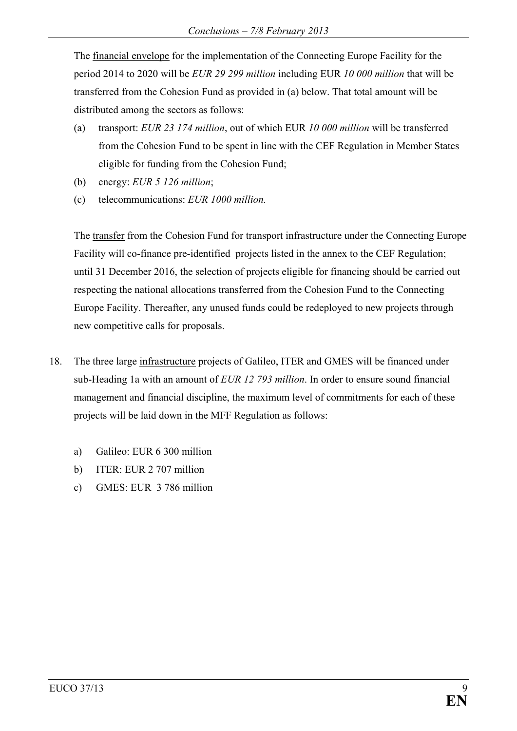The financial envelope for the implementation of the Connecting Europe Facility for the period 2014 to 2020 will be *EUR 29 299 million* including EUR *10 000 million* that will be transferred from the Cohesion Fund as provided in (a) below. That total amount will be distributed among the sectors as follows:

- (a) transport: *EUR 23 174 million*, out of which EUR *10 000 million* will be transferred from the Cohesion Fund to be spent in line with the CEF Regulation in Member States eligible for funding from the Cohesion Fund;
- (b) energy: *EUR 5 126 million*;
- (c) telecommunications: *EUR 1000 million.*

The transfer from the Cohesion Fund for transport infrastructure under the Connecting Europe Facility will co-finance pre-identified projects listed in the annex to the CEF Regulation; until 31 December 2016, the selection of projects eligible for financing should be carried out respecting the national allocations transferred from the Cohesion Fund to the Connecting Europe Facility. Thereafter, any unused funds could be redeployed to new projects through new competitive calls for proposals.

- 18. The three large infrastructure projects of Galileo, ITER and GMES will be financed under sub-Heading 1a with an amount of *EUR 12 793 million*. In order to ensure sound financial management and financial discipline, the maximum level of commitments for each of these projects will be laid down in the MFF Regulation as follows:
	- a) Galileo: EUR 6 300 million
	- b) ITER: EUR 2 707 million
	- c) GMES: EUR 3 786 million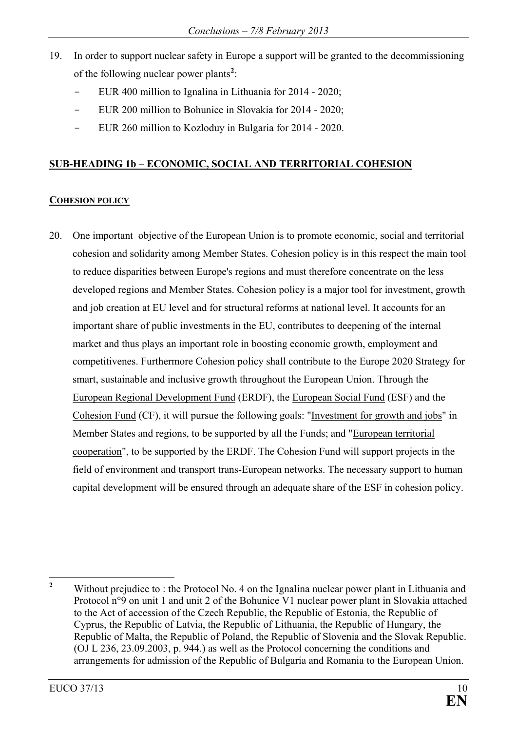- 19. In order to support nuclear safety in Europe a support will be granted to the decommissioning of the following nuclear power plants**[2](#page-10-0)** :
	- EUR 400 million to Ignalina in Lithuania for 2014 2020;
	- EUR 200 million to Bohunice in Slovakia for 2014 2020;
	- EUR 260 million to Kozloduy in Bulgaria for 2014 2020.

## **SUB-HEADING 1b – ECONOMIC, SOCIAL AND TERRITORIAL COHESION**

### **COHESION POLICY**

20. One important objective of the European Union is to promote economic, social and territorial cohesion and solidarity among Member States. Cohesion policy is in this respect the main tool to reduce disparities between Europe's regions and must therefore concentrate on the less developed regions and Member States. Cohesion policy is a major tool for investment, growth and job creation at EU level and for structural reforms at national level. It accounts for an important share of public investments in the EU, contributes to deepening of the internal market and thus plays an important role in boosting economic growth, employment and competitivenes. Furthermore Cohesion policy shall contribute to the Europe 2020 Strategy for smart, sustainable and inclusive growth throughout the European Union. Through the European Regional Development Fund (ERDF), the European Social Fund (ESF) and the Cohesion Fund (CF), it will pursue the following goals: "Investment for growth and jobs" in Member States and regions, to be supported by all the Funds; and "European territorial cooperation", to be supported by the ERDF. The Cohesion Fund will support projects in the field of environment and transport trans-European networks. The necessary support to human capital development will be ensured through an adequate share of the ESF in cohesion policy.

<span id="page-10-0"></span><sup>&</sup>lt;sup>2</sup> Without prejudice to : the Protocol No. 4 on the Ignalina nuclear power plant in Lithuania and Protocol n°9 on unit 1 and unit 2 of the Bohunice V1 nuclear power plant in Slovakia attached to the Act of accession of the Czech Republic, the Republic of Estonia, the Republic of Cyprus, the Republic of Latvia, the Republic of Lithuania, the Republic of Hungary, the Republic of Malta, the Republic of Poland, the Republic of Slovenia and the Slovak Republic. (OJ L 236, 23.09.2003, p. 944.) as well as the Protocol concerning the conditions and arrangements for admission of the Republic of Bulgaria and Romania to the European Union.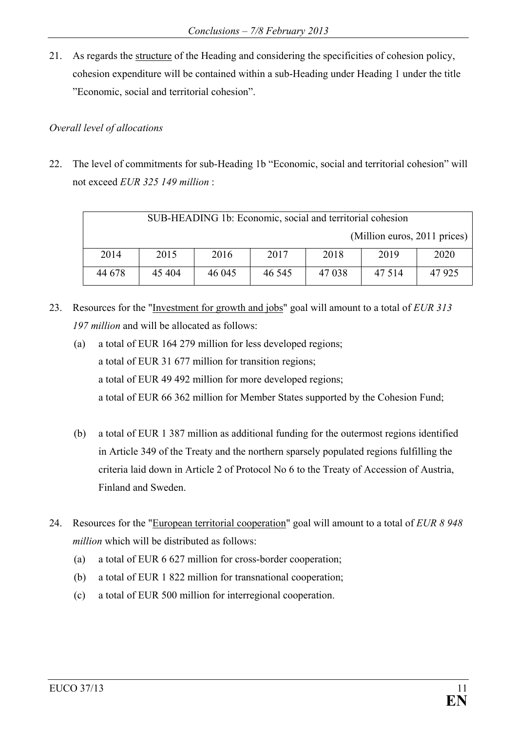21. As regards the structure of the Heading and considering the specificities of cohesion policy, cohesion expenditure will be contained within a sub-Heading under Heading 1 under the title "Economic, social and territorial cohesion".

### *Overall level of allocations*

22. The level of commitments for sub-Heading 1b "Economic, social and territorial cohesion" will not exceed *EUR 325 149 million* :

| SUB-HEADING 1b: Economic, social and territorial cohesion |        |        |        |         |                              |         |  |
|-----------------------------------------------------------|--------|--------|--------|---------|------------------------------|---------|--|
|                                                           |        |        |        |         | (Million euros, 2011 prices) |         |  |
| 2014                                                      | 2015   | 2016   | 2017   | 2018    | 2019                         | 2020    |  |
| 44 678                                                    | 45 404 | 46 045 | 46 545 | 47 0 38 | 47 5 14                      | 47 9 25 |  |

- 23. Resources for the "Investment for growth and jobs" goal will amount to a total of *EUR 313 197 million* and will be allocated as follows:
	- (a) a total of EUR 164 279 million for less developed regions; a total of EUR 31 677 million for transition regions; a total of EUR 49 492 million for more developed regions; a total of EUR 66 362 million for Member States supported by the Cohesion Fund;
	- (b) a total of EUR 1 387 million as additional funding for the outermost regions identified in Article 349 of the Treaty and the northern sparsely populated regions fulfilling the criteria laid down in Article 2 of Protocol No 6 to the Treaty of Accession of Austria, Finland and Sweden.
- 24. Resources for the "European territorial cooperation" goal will amount to a total of *EUR 8 948 million* which will be distributed as follows:
	- (a) a total of EUR 6 627 million for cross-border cooperation;
	- (b) a total of EUR 1 822 million for transnational cooperation;
	- (c) a total of EUR 500 million for interregional cooperation.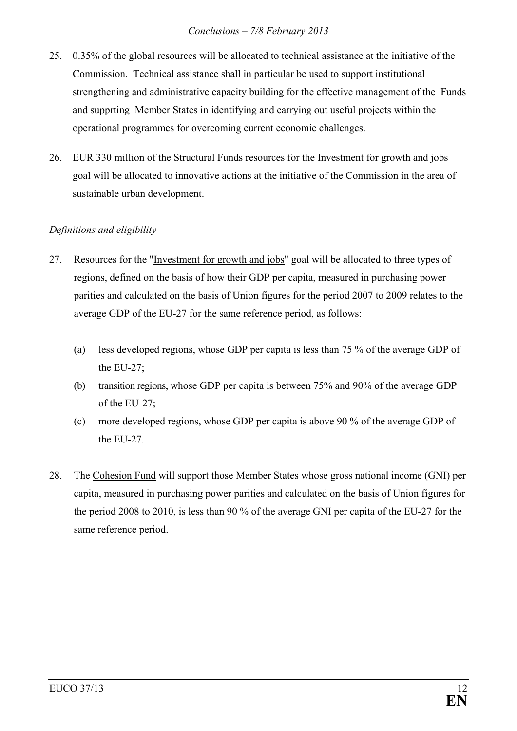- 25. 0.35% of the global resources will be allocated to technical assistance at the initiative of the Commission. Technical assistance shall in particular be used to support institutional strengthening and administrative capacity building for the effective management of the Funds and supprting Member States in identifying and carrying out useful projects within the operational programmes for overcoming current economic challenges.
- 26. EUR 330 million of the Structural Funds resources for the Investment for growth and jobs goal will be allocated to innovative actions at the initiative of the Commission in the area of sustainable urban development.

## *Definitions and eligibility*

- 27. Resources for the "Investment for growth and jobs" goal will be allocated to three types of regions, defined on the basis of how their GDP per capita, measured in purchasing power parities and calculated on the basis of Union figures for the period 2007 to 2009 relates to the average GDP of the EU-27 for the same reference period, as follows:
	- (a) less developed regions, whose GDP per capita is less than 75 % of the average GDP of the EU-27;
	- (b) transition regions, whose GDP per capita is between 75% and 90% of the average GDP of the EU-27;
	- (c) more developed regions, whose GDP per capita is above 90 % of the average GDP of the EU-27
- 28. The Cohesion Fund will support those Member States whose gross national income (GNI) per capita, measured in purchasing power parities and calculated on the basis of Union figures for the period 2008 to 2010, is less than 90 % of the average GNI per capita of the EU-27 for the same reference period.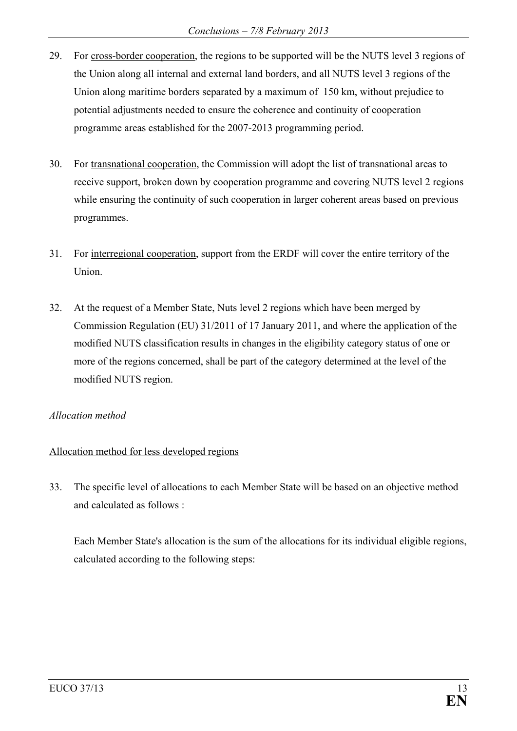- 29. For cross-border cooperation, the regions to be supported will be the NUTS level 3 regions of the Union along all internal and external land borders, and all NUTS level 3 regions of the Union along maritime borders separated by a maximum of 150 km, without prejudice to potential adjustments needed to ensure the coherence and continuity of cooperation programme areas established for the 2007-2013 programming period.
- 30. For transnational cooperation, the Commission will adopt the list of transnational areas to receive support, broken down by cooperation programme and covering NUTS level 2 regions while ensuring the continuity of such cooperation in larger coherent areas based on previous programmes.
- 31. For interregional cooperation, support from the ERDF will cover the entire territory of the Union.
- 32. At the request of a Member State, Nuts level 2 regions which have been merged by Commission Regulation (EU) 31/2011 of 17 January 2011, and where the application of the modified NUTS classification results in changes in the eligibility category status of one or more of the regions concerned, shall be part of the category determined at the level of the modified NUTS region.

### *Allocation method*

## Allocation method for less developed regions

33. The specific level of allocations to each Member State will be based on an objective method and calculated as follows :

Each Member State's allocation is the sum of the allocations for its individual eligible regions, calculated according to the following steps: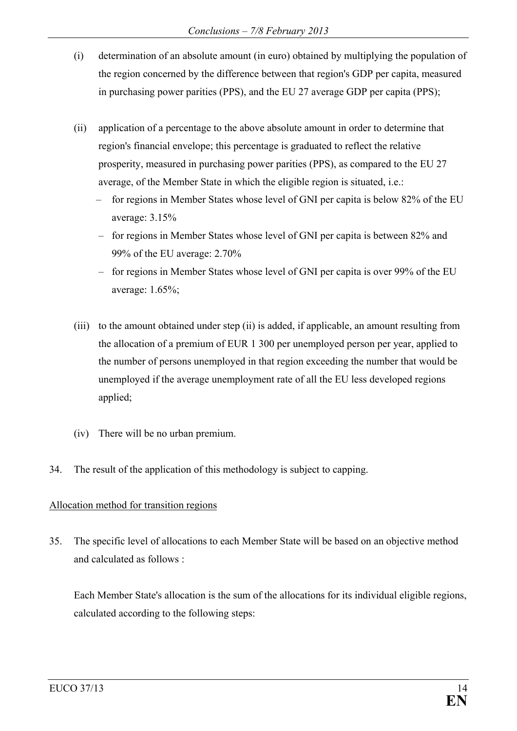- (i) determination of an absolute amount (in euro) obtained by multiplying the population of the region concerned by the difference between that region's GDP per capita, measured in purchasing power parities (PPS), and the EU 27 average GDP per capita (PPS);
- (ii) application of a percentage to the above absolute amount in order to determine that region's financial envelope; this percentage is graduated to reflect the relative prosperity, measured in purchasing power parities (PPS), as compared to the EU 27 average, of the Member State in which the eligible region is situated, i.e.:
	- for regions in Member States whose level of GNI per capita is below 82% of the EU average: 3.15%
	- for regions in Member States whose level of GNI per capita is between 82% and 99% of the EU average: 2.70%
	- for regions in Member States whose level of GNI per capita is over 99% of the EU average: 1.65%;
- (iii) to the amount obtained under step (ii) is added, if applicable, an amount resulting from the allocation of a premium of EUR 1 300 per unemployed person per year, applied to the number of persons unemployed in that region exceeding the number that would be unemployed if the average unemployment rate of all the EU less developed regions applied;
- (iv) There will be no urban premium.
- 34. The result of the application of this methodology is subject to capping.

## Allocation method for transition regions

35. The specific level of allocations to each Member State will be based on an objective method and calculated as follows :

Each Member State's allocation is the sum of the allocations for its individual eligible regions, calculated according to the following steps: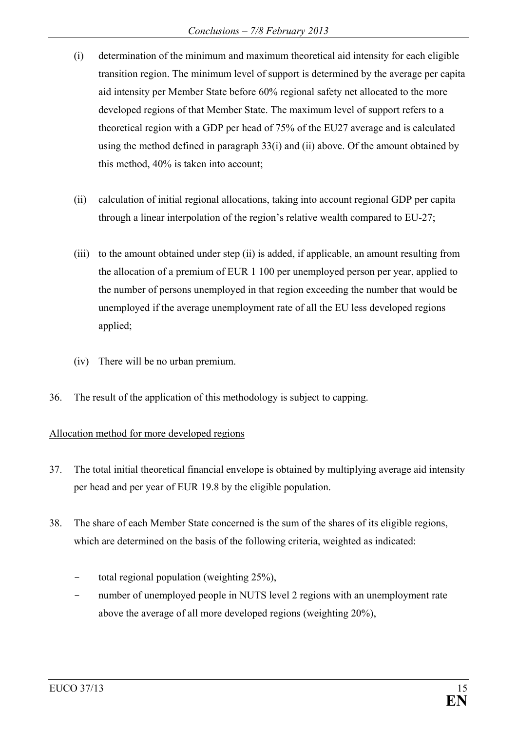- (i) determination of the minimum and maximum theoretical aid intensity for each eligible transition region. The minimum level of support is determined by the average per capita aid intensity per Member State before 60% regional safety net allocated to the more developed regions of that Member State. The maximum level of support refers to a theoretical region with a GDP per head of 75% of the EU27 average and is calculated using the method defined in paragraph  $33(i)$  and (ii) above. Of the amount obtained by this method, 40% is taken into account;
- (ii) calculation of initial regional allocations, taking into account regional GDP per capita through a linear interpolation of the region's relative wealth compared to EU-27;
- (iii) to the amount obtained under step (ii) is added, if applicable, an amount resulting from the allocation of a premium of EUR 1 100 per unemployed person per year, applied to the number of persons unemployed in that region exceeding the number that would be unemployed if the average unemployment rate of all the EU less developed regions applied;
- (iv) There will be no urban premium.
- 36. The result of the application of this methodology is subject to capping.

## Allocation method for more developed regions

- 37. The total initial theoretical financial envelope is obtained by multiplying average aid intensity per head and per year of EUR 19.8 by the eligible population.
- 38. The share of each Member State concerned is the sum of the shares of its eligible regions, which are determined on the basis of the following criteria, weighted as indicated:
	- total regional population (weighting  $25\%$ ),
	- number of unemployed people in NUTS level 2 regions with an unemployment rate above the average of all more developed regions (weighting 20%),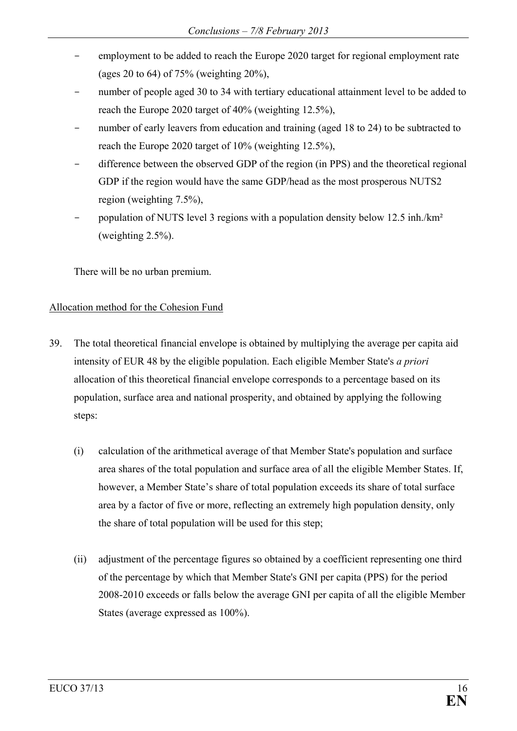- employment to be added to reach the Europe 2020 target for regional employment rate (ages 20 to 64) of 75% (weighting  $20\%$ ),
- number of people aged 30 to 34 with tertiary educational attainment level to be added to reach the Europe 2020 target of 40% (weighting 12.5%),
- number of early leavers from education and training (aged 18 to 24) to be subtracted to reach the Europe 2020 target of 10% (weighting 12.5%),
- difference between the observed GDP of the region (in PPS) and the theoretical regional GDP if the region would have the same GDP/head as the most prosperous NUTS2 region (weighting 7.5%),
- population of NUTS level 3 regions with a population density below 12.5 inh./km<sup>2</sup> (weighting 2.5%).

There will be no urban premium.

### Allocation method for the Cohesion Fund

- 39. The total theoretical financial envelope is obtained by multiplying the average per capita aid intensity of EUR 48 by the eligible population. Each eligible Member State's *a priori* allocation of this theoretical financial envelope corresponds to a percentage based on its population, surface area and national prosperity, and obtained by applying the following steps:
	- (i) calculation of the arithmetical average of that Member State's population and surface area shares of the total population and surface area of all the eligible Member States. If, however, a Member State's share of total population exceeds its share of total surface area by a factor of five or more, reflecting an extremely high population density, only the share of total population will be used for this step;
	- (ii) adjustment of the percentage figures so obtained by a coefficient representing one third of the percentage by which that Member State's GNI per capita (PPS) for the period 2008-2010 exceeds or falls below the average GNI per capita of all the eligible Member States (average expressed as 100%).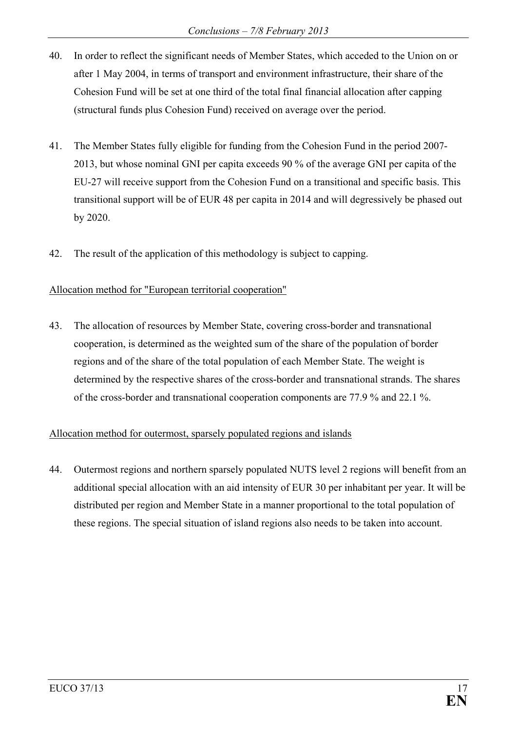- 40. In order to reflect the significant needs of Member States, which acceded to the Union on or after 1 May 2004, in terms of transport and environment infrastructure, their share of the Cohesion Fund will be set at one third of the total final financial allocation after capping (structural funds plus Cohesion Fund) received on average over the period.
- 41. The Member States fully eligible for funding from the Cohesion Fund in the period 2007- 2013, but whose nominal GNI per capita exceeds 90 % of the average GNI per capita of the EU-27 will receive support from the Cohesion Fund on a transitional and specific basis. This transitional support will be of EUR 48 per capita in 2014 and will degressively be phased out by 2020.
- 42. The result of the application of this methodology is subject to capping.

### Allocation method for "European territorial cooperation"

43. The allocation of resources by Member State, covering cross-border and transnational cooperation, is determined as the weighted sum of the share of the population of border regions and of the share of the total population of each Member State. The weight is determined by the respective shares of the cross-border and transnational strands. The shares of the cross-border and transnational cooperation components are 77.9 % and 22.1 %.

## Allocation method for outermost, sparsely populated regions and islands

44. Outermost regions and northern sparsely populated NUTS level 2 regions will benefit from an additional special allocation with an aid intensity of EUR 30 per inhabitant per year. It will be distributed per region and Member State in a manner proportional to the total population of these regions. The special situation of island regions also needs to be taken into account.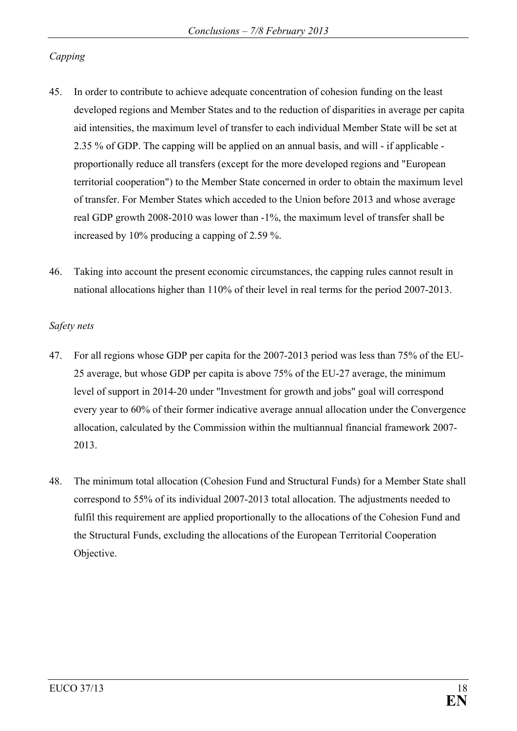## *Capping*

- 45. In order to contribute to achieve adequate concentration of cohesion funding on the least developed regions and Member States and to the reduction of disparities in average per capita aid intensities, the maximum level of transfer to each individual Member State will be set at 2.35 % of GDP. The capping will be applied on an annual basis, and will - if applicable proportionally reduce all transfers (except for the more developed regions and "European territorial cooperation") to the Member State concerned in order to obtain the maximum level of transfer. For Member States which acceded to the Union before 2013 and whose average real GDP growth 2008-2010 was lower than -1%, the maximum level of transfer shall be increased by 10% producing a capping of 2.59 %.
- 46. Taking into account the present economic circumstances, the capping rules cannot result in national allocations higher than 110% of their level in real terms for the period 2007-2013.

#### *Safety nets*

- 47. For all regions whose GDP per capita for the 2007-2013 period was less than 75% of the EU-25 average, but whose GDP per capita is above 75% of the EU-27 average, the minimum level of support in 2014-20 under "Investment for growth and jobs" goal will correspond every year to 60% of their former indicative average annual allocation under the Convergence allocation, calculated by the Commission within the multiannual financial framework 2007- 2013.
- 48. The minimum total allocation (Cohesion Fund and Structural Funds) for a Member State shall correspond to 55% of its individual 2007-2013 total allocation. The adjustments needed to fulfil this requirement are applied proportionally to the allocations of the Cohesion Fund and the Structural Funds, excluding the allocations of the European Territorial Cooperation Objective.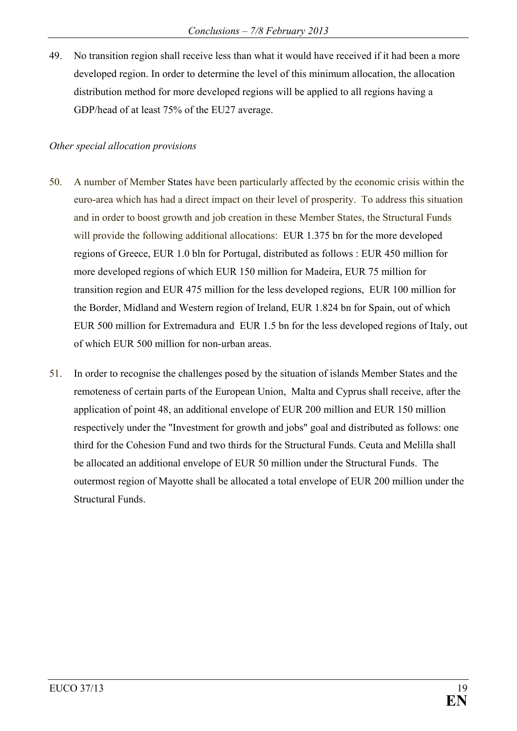49. No transition region shall receive less than what it would have received if it had been a more developed region. In order to determine the level of this minimum allocation, the allocation distribution method for more developed regions will be applied to all regions having a GDP/head of at least 75% of the EU27 average.

#### *Other special allocation provisions*

- 50. A number of Member States have been particularly affected by the economic crisis within the euro-area which has had a direct impact on their level of prosperity. To address this situation and in order to boost growth and job creation in these Member States, the Structural Funds will provide the following additional allocations: EUR 1.375 bn for the more developed regions of Greece, EUR 1.0 bln for Portugal, distributed as follows : EUR 450 million for more developed regions of which EUR 150 million for Madeira, EUR 75 million for transition region and EUR 475 million for the less developed regions, EUR 100 million for the Border, Midland and Western region of Ireland, EUR 1.824 bn for Spain, out of which EUR 500 million for Extremadura and EUR 1.5 bn for the less developed regions of Italy, out of which EUR 500 million for non-urban areas.
- 51. In order to recognise the challenges posed by the situation of islands Member States and the remoteness of certain parts of the European Union, Malta and Cyprus shall receive, after the application of point 48, an additional envelope of EUR 200 million and EUR 150 million respectively under the "Investment for growth and jobs" goal and distributed as follows: one third for the Cohesion Fund and two thirds for the Structural Funds. Ceuta and Melilla shall be allocated an additional envelope of EUR 50 million under the Structural Funds. The outermost region of Mayotte shall be allocated a total envelope of EUR 200 million under the Structural Funds.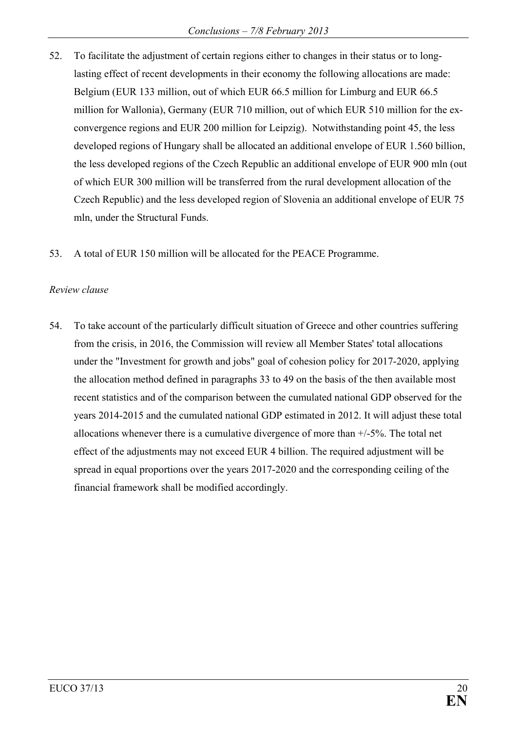- 52. To facilitate the adjustment of certain regions either to changes in their status or to longlasting effect of recent developments in their economy the following allocations are made: Belgium (EUR 133 million, out of which EUR 66.5 million for Limburg and EUR 66.5 million for Wallonia), Germany (EUR 710 million, out of which EUR 510 million for the exconvergence regions and EUR 200 million for Leipzig). Notwithstanding point 45, the less developed regions of Hungary shall be allocated an additional envelope of EUR 1.560 billion, the less developed regions of the Czech Republic an additional envelope of EUR 900 mln (out of which EUR 300 million will be transferred from the rural development allocation of the Czech Republic) and the less developed region of Slovenia an additional envelope of EUR 75 mln, under the Structural Funds.
- 53. A total of EUR 150 million will be allocated for the PEACE Programme.

### *Review clause*

54. To take account of the particularly difficult situation of Greece and other countries suffering from the crisis, in 2016, the Commission will review all Member States' total allocations under the "Investment for growth and jobs" goal of cohesion policy for 2017-2020, applying the allocation method defined in paragraphs 33 to 49 on the basis of the then available most recent statistics and of the comparison between the cumulated national GDP observed for the years 2014-2015 and the cumulated national GDP estimated in 2012. It will adjust these total allocations whenever there is a cumulative divergence of more than +/-5%. The total net effect of the adjustments may not exceed EUR 4 billion. The required adjustment will be spread in equal proportions over the years 2017-2020 and the corresponding ceiling of the financial framework shall be modified accordingly.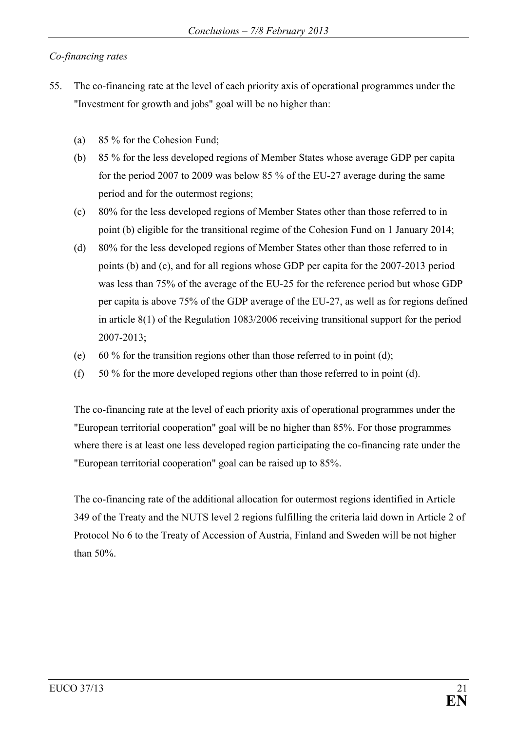## *Co-financing rates*

- 55. The co-financing rate at the level of each priority axis of operational programmes under the "Investment for growth and jobs" goal will be no higher than:
	- (a) 85 % for the Cohesion Fund;
	- (b) 85 % for the less developed regions of Member States whose average GDP per capita for the period 2007 to 2009 was below 85 % of the EU-27 average during the same period and for the outermost regions;
	- (c) 80% for the less developed regions of Member States other than those referred to in point (b) eligible for the transitional regime of the Cohesion Fund on 1 January 2014;
	- (d) 80% for the less developed regions of Member States other than those referred to in points (b) and (c), and for all regions whose GDP per capita for the 2007-2013 period was less than 75% of the average of the EU-25 for the reference period but whose GDP per capita is above 75% of the GDP average of the EU-27, as well as for regions defined in article 8(1) of the Regulation 1083/2006 receiving transitional support for the period 2007-2013;
	- (e) 60 % for the transition regions other than those referred to in point (d);
	- (f) 50 % for the more developed regions other than those referred to in point (d).

The co-financing rate at the level of each priority axis of operational programmes under the "European territorial cooperation" goal will be no higher than 85%. For those programmes where there is at least one less developed region participating the co-financing rate under the "European territorial cooperation" goal can be raised up to 85%.

The co-financing rate of the additional allocation for outermost regions identified in Article 349 of the Treaty and the NUTS level 2 regions fulfilling the criteria laid down in Article 2 of Protocol No 6 to the Treaty of Accession of Austria, Finland and Sweden will be not higher than 50%.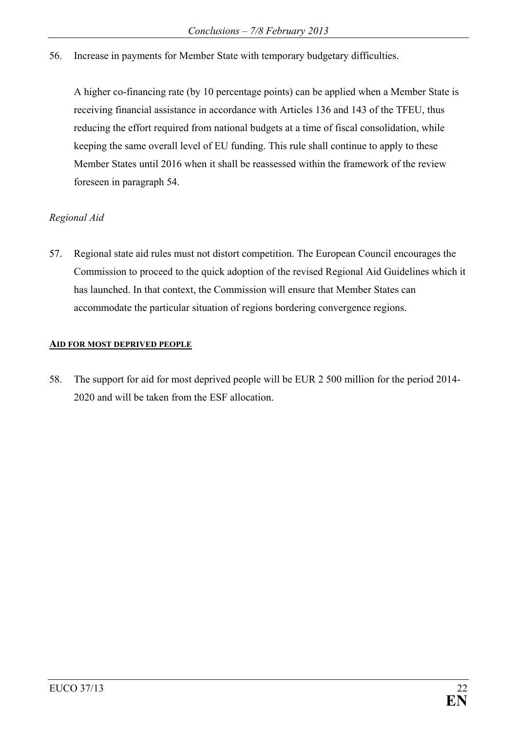56. Increase in payments for Member State with temporary budgetary difficulties.

A higher co-financing rate (by 10 percentage points) can be applied when a Member State is receiving financial assistance in accordance with Articles 136 and 143 of the TFEU, thus reducing the effort required from national budgets at a time of fiscal consolidation, while keeping the same overall level of EU funding. This rule shall continue to apply to these Member States until 2016 when it shall be reassessed within the framework of the review foreseen in paragraph 54.

### *Regional Aid*

57. Regional state aid rules must not distort competition. The European Council encourages the Commission to proceed to the quick adoption of the revised Regional Aid Guidelines which it has launched. In that context, the Commission will ensure that Member States can accommodate the particular situation of regions bordering convergence regions.

#### **AID FOR MOST DEPRIVED PEOPLE**

58. The support for aid for most deprived people will be EUR 2 500 million for the period 2014- 2020 and will be taken from the ESF allocation.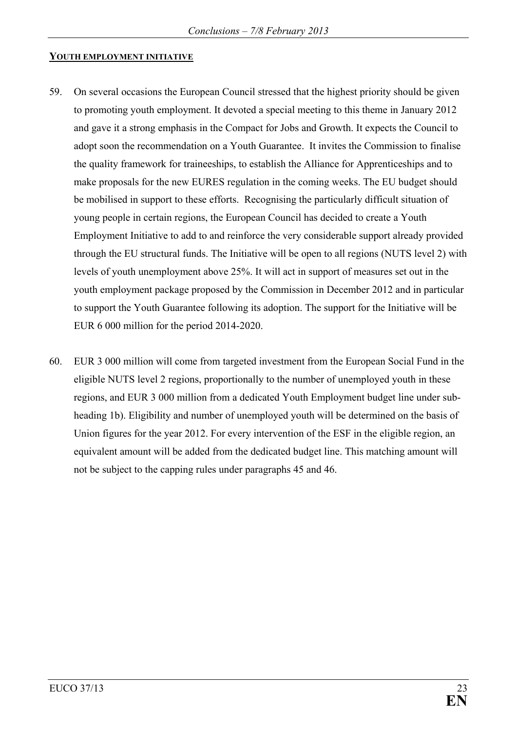#### **YOUTH EMPLOYMENT INITIATIVE**

- 59. On several occasions the European Council stressed that the highest priority should be given to promoting youth employment. It devoted a special meeting to this theme in January 2012 and gave it a strong emphasis in the Compact for Jobs and Growth. It expects the Council to adopt soon the recommendation on a Youth Guarantee. It invites the Commission to finalise the quality framework for traineeships, to establish the Alliance for Apprenticeships and to make proposals for the new EURES regulation in the coming weeks. The EU budget should be mobilised in support to these efforts. Recognising the particularly difficult situation of young people in certain regions, the European Council has decided to create a Youth Employment Initiative to add to and reinforce the very considerable support already provided through the EU structural funds. The Initiative will be open to all regions (NUTS level 2) with levels of youth unemployment above 25%. It will act in support of measures set out in the youth employment package proposed by the Commission in December 2012 and in particular to support the Youth Guarantee following its adoption. The support for the Initiative will be EUR 6 000 million for the period 2014-2020.
- 60. EUR 3 000 million will come from targeted investment from the European Social Fund in the eligible NUTS level 2 regions, proportionally to the number of unemployed youth in these regions, and EUR 3 000 million from a dedicated Youth Employment budget line under subheading 1b). Eligibility and number of unemployed youth will be determined on the basis of Union figures for the year 2012. For every intervention of the ESF in the eligible region, an equivalent amount will be added from the dedicated budget line. This matching amount will not be subject to the capping rules under paragraphs 45 and 46.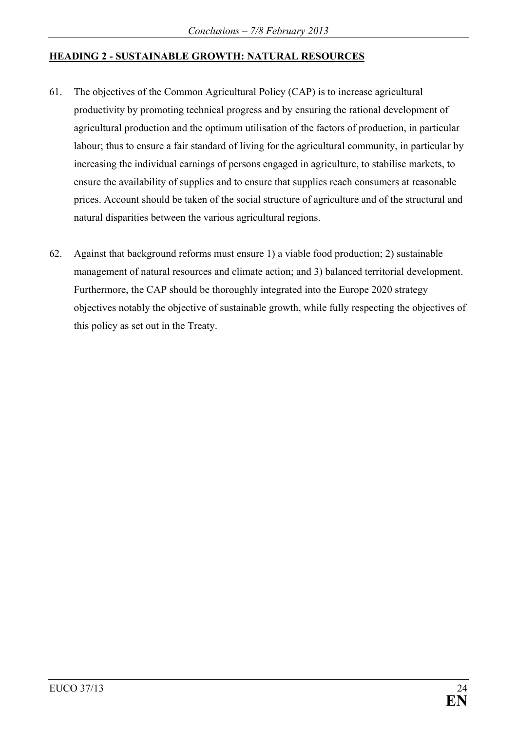## **HEADING 2 - SUSTAINABLE GROWTH: NATURAL RESOURCES**

- 61. The objectives of the Common Agricultural Policy (CAP) is to increase agricultural productivity by promoting technical progress and by ensuring the rational development of agricultural production and the optimum utilisation of the factors of production, in particular labour; thus to ensure a fair standard of living for the agricultural community, in particular by increasing the individual earnings of persons engaged in agriculture, to stabilise markets, to ensure the availability of supplies and to ensure that supplies reach consumers at reasonable prices. Account should be taken of the social structure of agriculture and of the structural and natural disparities between the various agricultural regions.
- 62. Against that background reforms must ensure 1) a viable food production; 2) sustainable management of natural resources and climate action; and 3) balanced territorial development. Furthermore, the CAP should be thoroughly integrated into the Europe 2020 strategy objectives notably the objective of sustainable growth, while fully respecting the objectives of this policy as set out in the Treaty.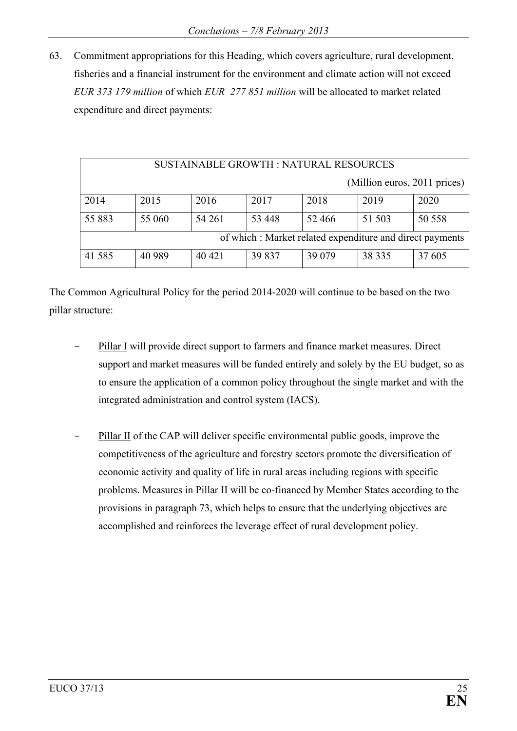63. Commitment appropriations for this Heading, which covers agriculture, rural development, fisheries and a financial instrument for the environment and climate action will not exceed *EUR 373 179 million* of which *EUR 277 851 million* will be allocated to market related expenditure and direct payments:

| <b>SUSTAINABLE GROWTH: NATURAL RESOURCES</b> |                                                          |        |        |         |                              |        |  |  |
|----------------------------------------------|----------------------------------------------------------|--------|--------|---------|------------------------------|--------|--|--|
|                                              |                                                          |        |        |         | (Million euros, 2011 prices) |        |  |  |
| 2014                                         | 2015                                                     | 2016   | 2017   | 2018    | 2019                         | 2020   |  |  |
| 55 883                                       | 55 060                                                   | 54 261 | 53 448 | 52 466  | 51 503                       | 50 558 |  |  |
|                                              | of which: Market related expenditure and direct payments |        |        |         |                              |        |  |  |
| 41 5 8 5                                     | 40 9 89                                                  | 40 421 | 39 837 | 39 0 79 | 38 335                       | 37 605 |  |  |

The Common Agricultural Policy for the period 2014-2020 will continue to be based on the two pillar structure:

- Pillar I will provide direct support to farmers and finance market measures. Direct support and market measures will be funded entirely and solely by the EU budget, so as to ensure the application of a common policy throughout the single market and with the integrated administration and control system (IACS).
- Pillar II of the CAP will deliver specific environmental public goods, improve the competitiveness of the agriculture and forestry sectors promote the diversification of economic activity and quality of life in rural areas including regions with specific problems. Measures in Pillar II will be co-financed by Member States according to the provisions in paragraph 73, which helps to ensure that the underlying objectives are accomplished and reinforces the leverage effect of rural development policy.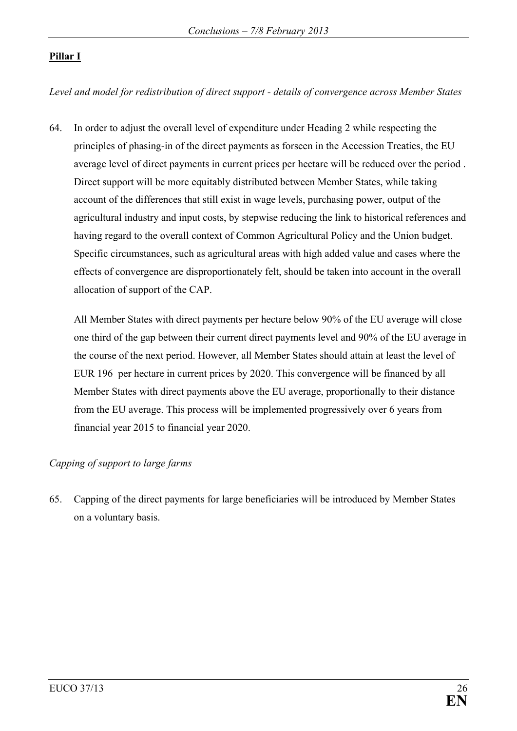## **Pillar I**

*Level and model for redistribution of direct support - details of convergence across Member States*

64. In order to adjust the overall level of expenditure under Heading 2 while respecting the principles of phasing-in of the direct payments as forseen in the Accession Treaties, the EU average level of direct payments in current prices per hectare will be reduced over the period . Direct support will be more equitably distributed between Member States, while taking account of the differences that still exist in wage levels, purchasing power, output of the agricultural industry and input costs, by stepwise reducing the link to historical references and having regard to the overall context of Common Agricultural Policy and the Union budget. Specific circumstances, such as agricultural areas with high added value and cases where the effects of convergence are disproportionately felt, should be taken into account in the overall allocation of support of the CAP.

All Member States with direct payments per hectare below 90% of the EU average will close one third of the gap between their current direct payments level and 90% of the EU average in the course of the next period. However, all Member States should attain at least the level of EUR 196 per hectare in current prices by 2020. This convergence will be financed by all Member States with direct payments above the EU average, proportionally to their distance from the EU average. This process will be implemented progressively over 6 years from financial year 2015 to financial year 2020.

### *Capping of support to large farms*

65. Capping of the direct payments for large beneficiaries will be introduced by Member States on a voluntary basis.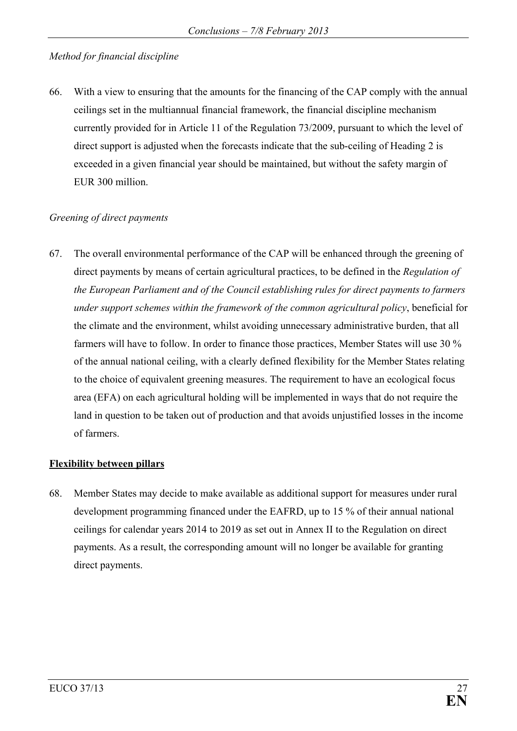## *Method for financial discipline*

66. With a view to ensuring that the amounts for the financing of the CAP comply with the annual ceilings set in the multiannual financial framework, the financial discipline mechanism currently provided for in Article 11 of the Regulation 73/2009, pursuant to which the level of direct support is adjusted when the forecasts indicate that the sub-ceiling of Heading 2 is exceeded in a given financial year should be maintained, but without the safety margin of EUR 300 million.

#### *Greening of direct payments*

67. The overall environmental performance of the CAP will be enhanced through the greening of direct payments by means of certain agricultural practices, to be defined in the *Regulation of the European Parliament and of the Council establishing rules for direct payments to farmers under support schemes within the framework of the common agricultural policy*, beneficial for the climate and the environment, whilst avoiding unnecessary administrative burden, that all farmers will have to follow. In order to finance those practices, Member States will use 30 % of the annual national ceiling, with a clearly defined flexibility for the Member States relating to the choice of equivalent greening measures. The requirement to have an ecological focus area (EFA) on each agricultural holding will be implemented in ways that do not require the land in question to be taken out of production and that avoids unjustified losses in the income of farmers.

#### **Flexibility between pillars**

68. Member States may decide to make available as additional support for measures under rural development programming financed under the EAFRD, up to 15 % of their annual national ceilings for calendar years 2014 to 2019 as set out in Annex II to the Regulation on direct payments. As a result, the corresponding amount will no longer be available for granting direct payments.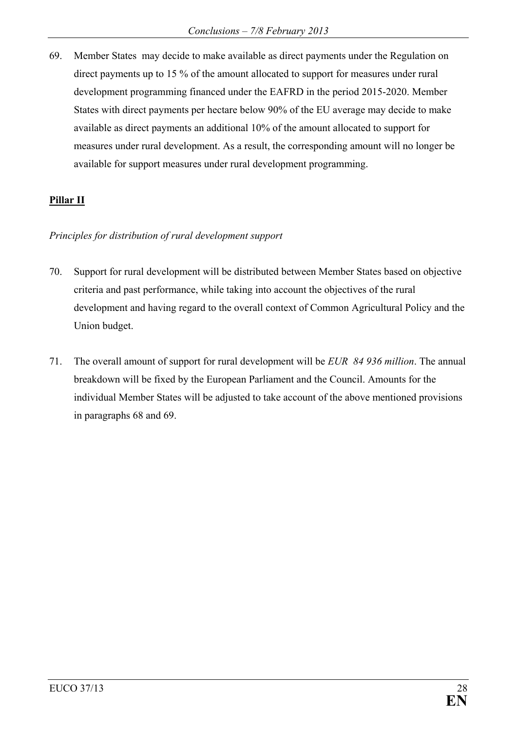69. Member States may decide to make available as direct payments under the Regulation on direct payments up to 15 % of the amount allocated to support for measures under rural development programming financed under the EAFRD in the period 2015-2020. Member States with direct payments per hectare below 90% of the EU average may decide to make available as direct payments an additional 10% of the amount allocated to support for measures under rural development. As a result, the corresponding amount will no longer be available for support measures under rural development programming.

### **Pillar II**

#### *Principles for distribution of rural development support*

- 70. Support for rural development will be distributed between Member States based on objective criteria and past performance, while taking into account the objectives of the rural development and having regard to the overall context of Common Agricultural Policy and the Union budget.
- 71. The overall amount of support for rural development will be *EUR 84 936 million*. The annual breakdown will be fixed by the European Parliament and the Council. Amounts for the individual Member States will be adjusted to take account of the above mentioned provisions in paragraphs 68 and 69.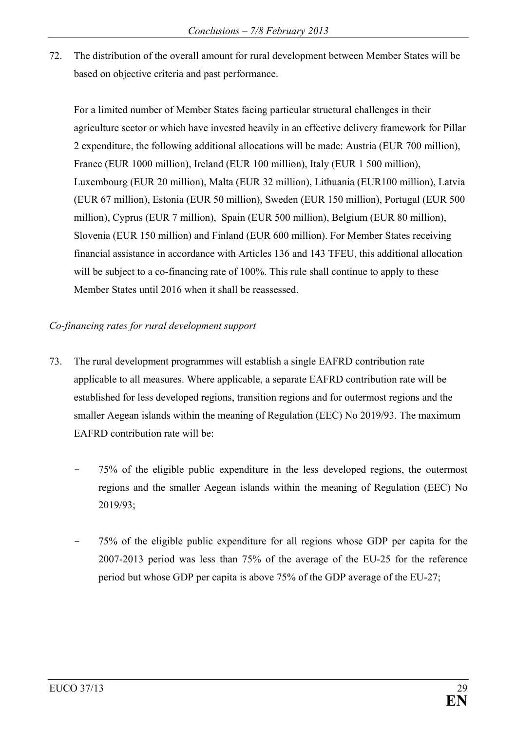72. The distribution of the overall amount for rural development between Member States will be based on objective criteria and past performance.

For a limited number of Member States facing particular structural challenges in their agriculture sector or which have invested heavily in an effective delivery framework for Pillar 2 expenditure, the following additional allocations will be made: Austria (EUR 700 million), France (EUR 1000 million), Ireland (EUR 100 million), Italy (EUR 1 500 million), Luxembourg (EUR 20 million), Malta (EUR 32 million), Lithuania (EUR100 million), Latvia (EUR 67 million), Estonia (EUR 50 million), Sweden (EUR 150 million), Portugal (EUR 500 million), Cyprus (EUR 7 million), Spain (EUR 500 million), Belgium (EUR 80 million), Slovenia (EUR 150 million) and Finland (EUR 600 million). For Member States receiving financial assistance in accordance with Articles 136 and 143 TFEU, this additional allocation will be subject to a co-financing rate of 100%. This rule shall continue to apply to these Member States until 2016 when it shall be reassessed.

## *Co-financing rates for rural development support*

- 73. The rural development programmes will establish a single EAFRD contribution rate applicable to all measures. Where applicable, a separate EAFRD contribution rate will be established for less developed regions, transition regions and for outermost regions and the smaller Aegean islands within the meaning of Regulation (EEC) No 2019/93. The maximum EAFRD contribution rate will be:
	- 75% of the eligible public expenditure in the less developed regions, the outermost regions and the smaller Aegean islands within the meaning of Regulation (EEC) No 2019/93;
	- 75% of the eligible public expenditure for all regions whose GDP per capita for the 2007-2013 period was less than 75% of the average of the EU-25 for the reference period but whose GDP per capita is above 75% of the GDP average of the EU-27;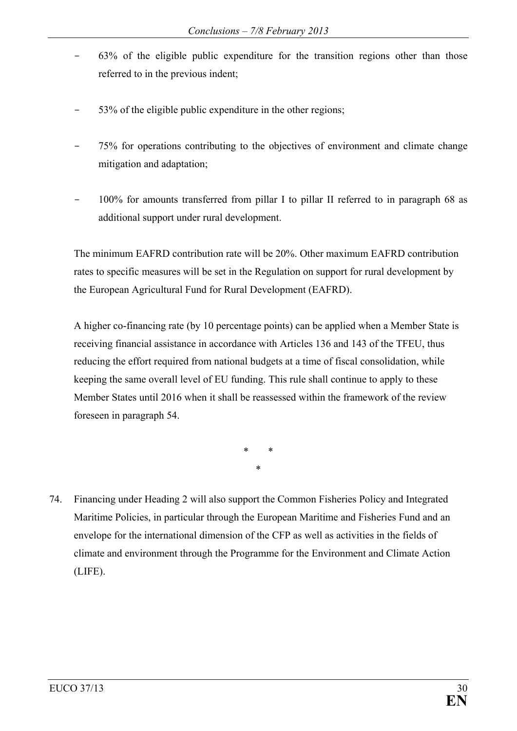- 63% of the eligible public expenditure for the transition regions other than those referred to in the previous indent;
- 53% of the eligible public expenditure in the other regions;
- 75% for operations contributing to the objectives of environment and climate change mitigation and adaptation;
- 100% for amounts transferred from pillar I to pillar II referred to in paragraph 68 as additional support under rural development.

The minimum EAFRD contribution rate will be 20%. Other maximum EAFRD contribution rates to specific measures will be set in the Regulation on support for rural development by the European Agricultural Fund for Rural Development (EAFRD).

A higher co-financing rate (by 10 percentage points) can be applied when a Member State is receiving financial assistance in accordance with Articles 136 and 143 of the TFEU, thus reducing the effort required from national budgets at a time of fiscal consolidation, while keeping the same overall level of EU funding. This rule shall continue to apply to these Member States until 2016 when it shall be reassessed within the framework of the review foreseen in paragraph 54.

> \* \* \*

74. Financing under Heading 2 will also support the Common Fisheries Policy and Integrated Maritime Policies, in particular through the European Maritime and Fisheries Fund and an envelope for the international dimension of the CFP as well as activities in the fields of climate and environment through the Programme for the Environment and Climate Action (LIFE).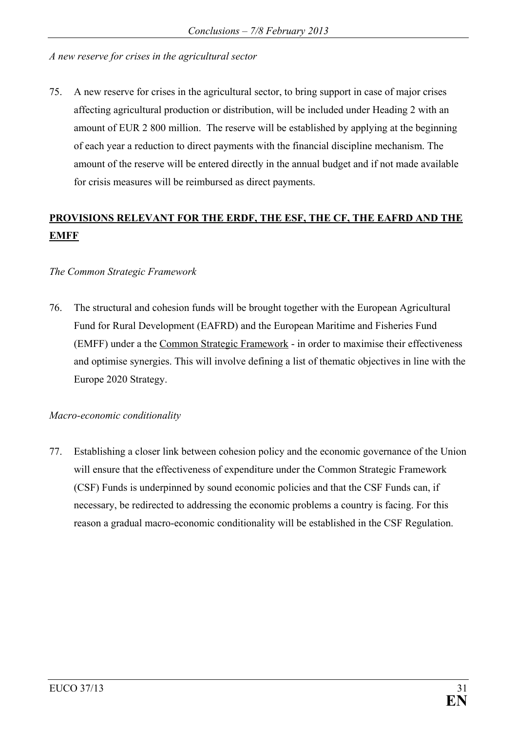*A new reserve for crises in the agricultural sector* 

75. A new reserve for crises in the agricultural sector, to bring support in case of major crises affecting agricultural production or distribution, will be included under Heading 2 with an amount of EUR 2 800 million. The reserve will be established by applying at the beginning of each year a reduction to direct payments with the financial discipline mechanism. The amount of the reserve will be entered directly in the annual budget and if not made available for crisis measures will be reimbursed as direct payments.

# **PROVISIONS RELEVANT FOR THE ERDF, THE ESF, THE CF, THE EAFRD AND THE EMFF**

#### *The Common Strategic Framework*

76. The structural and cohesion funds will be brought together with the European Agricultural Fund for Rural Development (EAFRD) and the European Maritime and Fisheries Fund (EMFF) under a the Common Strategic Framework - in order to maximise their effectiveness and optimise synergies. This will involve defining a list of thematic objectives in line with the Europe 2020 Strategy.

#### *Macro-economic conditionality*

77. Establishing a closer link between cohesion policy and the economic governance of the Union will ensure that the effectiveness of expenditure under the Common Strategic Framework (CSF) Funds is underpinned by sound economic policies and that the CSF Funds can, if necessary, be redirected to addressing the economic problems a country is facing. For this reason a gradual macro-economic conditionality will be established in the CSF Regulation.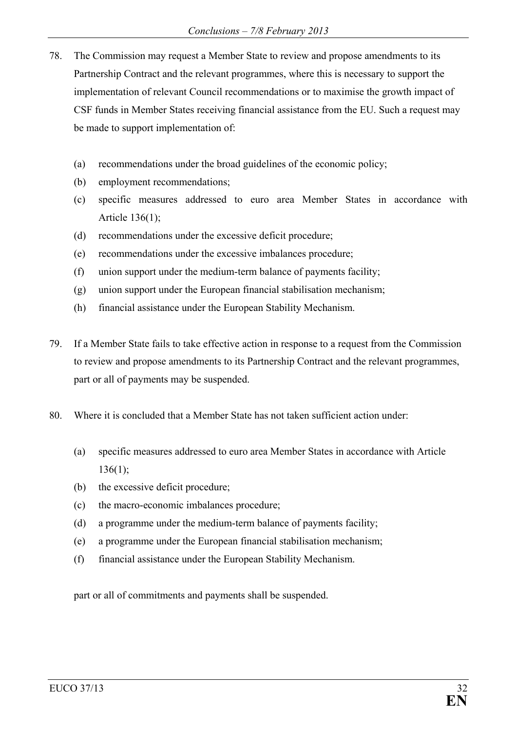- 78. The Commission may request a Member State to review and propose amendments to its Partnership Contract and the relevant programmes, where this is necessary to support the implementation of relevant Council recommendations or to maximise the growth impact of CSF funds in Member States receiving financial assistance from the EU. Such a request may be made to support implementation of:
	- (a) recommendations under the broad guidelines of the economic policy;
	- (b) employment recommendations;
	- (c) specific measures addressed to euro area Member States in accordance with Article 136(1);
	- (d) recommendations under the excessive deficit procedure;
	- (e) recommendations under the excessive imbalances procedure;
	- (f) union support under the medium-term balance of payments facility;
	- (g) union support under the European financial stabilisation mechanism;
	- (h) financial assistance under the European Stability Mechanism.
- 79. If a Member State fails to take effective action in response to a request from the Commission to review and propose amendments to its Partnership Contract and the relevant programmes, part or all of payments may be suspended.
- 80. Where it is concluded that a Member State has not taken sufficient action under:
	- (a) specific measures addressed to euro area Member States in accordance with Article  $136(1)$ ;
	- (b) the excessive deficit procedure;
	- (c) the macro-economic imbalances procedure;
	- (d) a programme under the medium-term balance of payments facility;
	- (e) a programme under the European financial stabilisation mechanism;
	- (f) financial assistance under the European Stability Mechanism.

part or all of commitments and payments shall be suspended.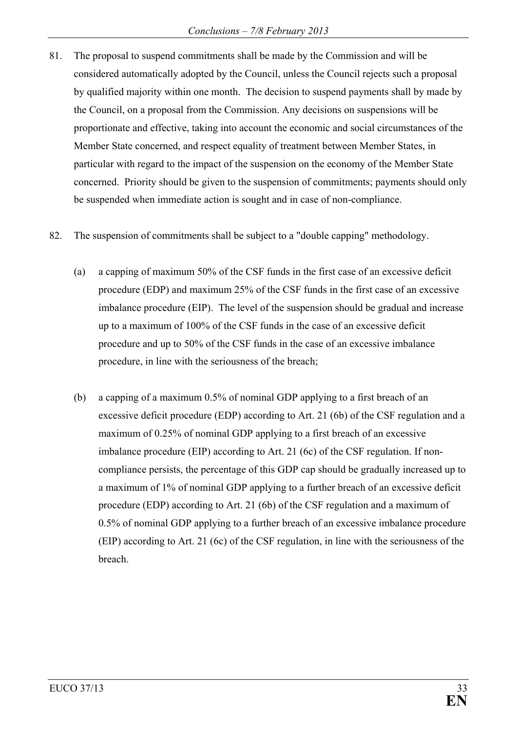- 81. The proposal to suspend commitments shall be made by the Commission and will be considered automatically adopted by the Council, unless the Council rejects such a proposal by qualified majority within one month. The decision to suspend payments shall by made by the Council, on a proposal from the Commission. Any decisions on suspensions will be proportionate and effective, taking into account the economic and social circumstances of the Member State concerned, and respect equality of treatment between Member States, in particular with regard to the impact of the suspension on the economy of the Member State concerned. Priority should be given to the suspension of commitments; payments should only be suspended when immediate action is sought and in case of non-compliance.
- 82. The suspension of commitments shall be subject to a "double capping" methodology.
	- (a) a capping of maximum 50% of the CSF funds in the first case of an excessive deficit procedure (EDP) and maximum 25% of the CSF funds in the first case of an excessive imbalance procedure (EIP). The level of the suspension should be gradual and increase up to a maximum of 100% of the CSF funds in the case of an excessive deficit procedure and up to 50% of the CSF funds in the case of an excessive imbalance procedure, in line with the seriousness of the breach;
	- (b) a capping of a maximum 0.5% of nominal GDP applying to a first breach of an excessive deficit procedure (EDP) according to Art. 21 (6b) of the CSF regulation and a maximum of 0.25% of nominal GDP applying to a first breach of an excessive imbalance procedure (EIP) according to Art. 21 (6c) of the CSF regulation. If noncompliance persists, the percentage of this GDP cap should be gradually increased up to a maximum of 1% of nominal GDP applying to a further breach of an excessive deficit procedure (EDP) according to Art. 21 (6b) of the CSF regulation and a maximum of 0.5% of nominal GDP applying to a further breach of an excessive imbalance procedure (EIP) according to Art. 21 (6c) of the CSF regulation, in line with the seriousness of the breach.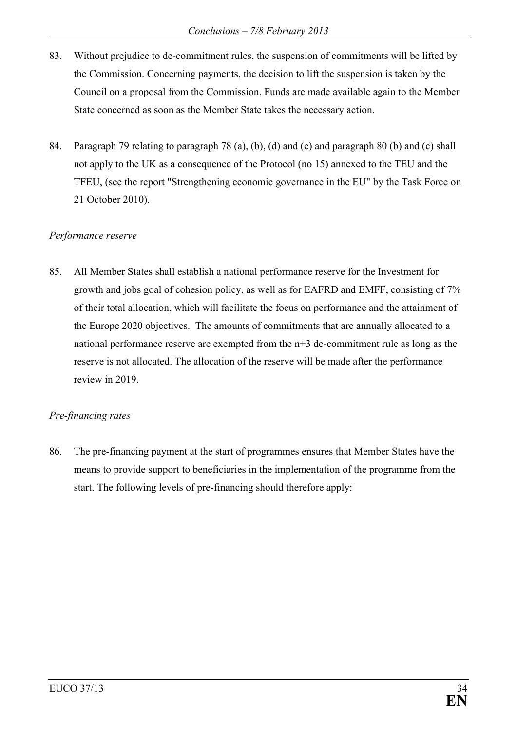- 83. Without prejudice to de-commitment rules, the suspension of commitments will be lifted by the Commission. Concerning payments, the decision to lift the suspension is taken by the Council on a proposal from the Commission. Funds are made available again to the Member State concerned as soon as the Member State takes the necessary action.
- 84. Paragraph 79 relating to paragraph 78 (a), (b), (d) and (e) and paragraph 80 (b) and (c) shall not apply to the UK as a consequence of the Protocol (no 15) annexed to the TEU and the TFEU, (see the report "Strengthening economic governance in the EU" by the Task Force on 21 October 2010).

#### *Performance reserve*

85. All Member States shall establish a national performance reserve for the Investment for growth and jobs goal of cohesion policy, as well as for EAFRD and EMFF, consisting of 7% of their total allocation, which will facilitate the focus on performance and the attainment of the Europe 2020 objectives. The amounts of commitments that are annually allocated to a national performance reserve are exempted from the n+3 de-commitment rule as long as the reserve is not allocated. The allocation of the reserve will be made after the performance review in 2019.

### *Pre-financing rates*

86. The pre-financing payment at the start of programmes ensures that Member States have the means to provide support to beneficiaries in the implementation of the programme from the start. The following levels of pre-financing should therefore apply: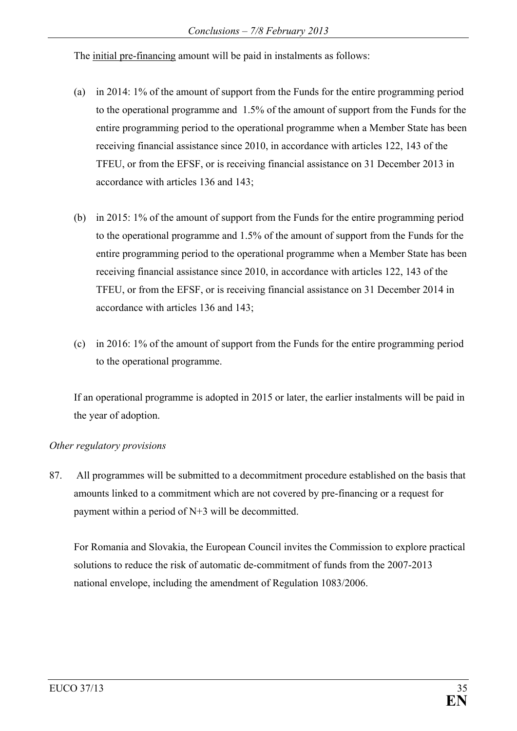The initial pre-financing amount will be paid in instalments as follows:

- (a) in 2014: 1% of the amount of support from the Funds for the entire programming period to the operational programme and 1.5% of the amount of support from the Funds for the entire programming period to the operational programme when a Member State has been receiving financial assistance since 2010, in accordance with articles 122, 143 of the TFEU, or from the EFSF, or is receiving financial assistance on 31 December 2013 in accordance with articles 136 and 143;
- (b) in 2015: 1% of the amount of support from the Funds for the entire programming period to the operational programme and 1.5% of the amount of support from the Funds for the entire programming period to the operational programme when a Member State has been receiving financial assistance since 2010, in accordance with articles 122, 143 of the TFEU, or from the EFSF, or is receiving financial assistance on 31 December 2014 in accordance with articles 136 and 143;
- (c) in 2016: 1% of the amount of support from the Funds for the entire programming period to the operational programme.

If an operational programme is adopted in 2015 or later, the earlier instalments will be paid in the year of adoption.

### *Other regulatory provisions*

87. All programmes will be submitted to a decommitment procedure established on the basis that amounts linked to a commitment which are not covered by pre-financing or a request for payment within a period of N+3 will be decommitted.

For Romania and Slovakia, the European Council invites the Commission to explore practical solutions to reduce the risk of automatic de-commitment of funds from the 2007-2013 national envelope, including the amendment of Regulation 1083/2006.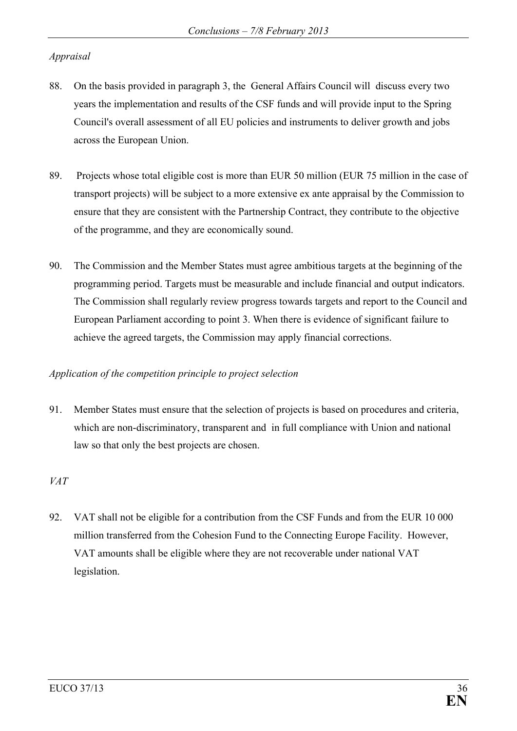## *Appraisal*

- 88. On the basis provided in paragraph 3, the General Affairs Council will discuss every two years the implementation and results of the CSF funds and will provide input to the Spring Council's overall assessment of all EU policies and instruments to deliver growth and jobs across the European Union.
- 89. Projects whose total eligible cost is more than EUR 50 million (EUR 75 million in the case of transport projects) will be subject to a more extensive ex ante appraisal by the Commission to ensure that they are consistent with the Partnership Contract, they contribute to the objective of the programme, and they are economically sound.
- 90. The Commission and the Member States must agree ambitious targets at the beginning of the programming period. Targets must be measurable and include financial and output indicators. The Commission shall regularly review progress towards targets and report to the Council and European Parliament according to point 3. When there is evidence of significant failure to achieve the agreed targets, the Commission may apply financial corrections.

### *Application of the competition principle to project selection*

91. Member States must ensure that the selection of projects is based on procedures and criteria, which are non-discriminatory, transparent and in full compliance with Union and national law so that only the best projects are chosen.

## *VAT*

92. VAT shall not be eligible for a contribution from the CSF Funds and from the EUR 10 000 million transferred from the Cohesion Fund to the Connecting Europe Facility. However, VAT amounts shall be eligible where they are not recoverable under national VAT legislation.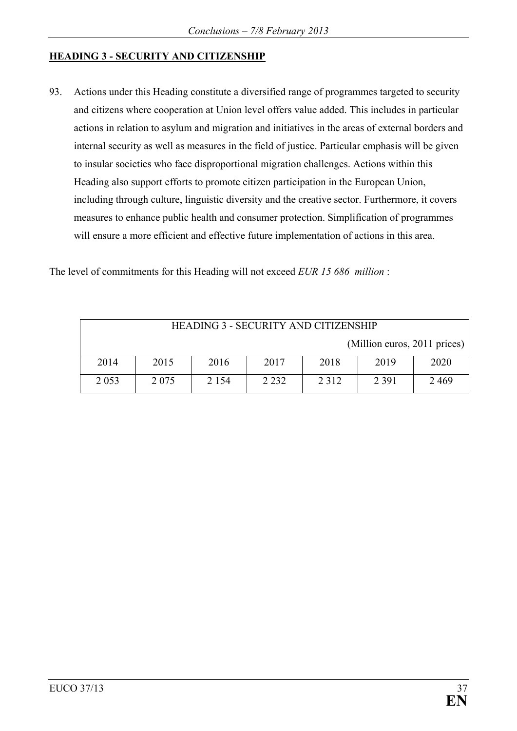## **HEADING 3 - SECURITY AND CITIZENSHIP**

93. Actions under this Heading constitute a diversified range of programmes targeted to security and citizens where cooperation at Union level offers value added. This includes in particular actions in relation to asylum and migration and initiatives in the areas of external borders and internal security as well as measures in the field of justice. Particular emphasis will be given to insular societies who face disproportional migration challenges. Actions within this Heading also support efforts to promote citizen participation in the European Union, including through culture, linguistic diversity and the creative sector. Furthermore, it covers measures to enhance public health and consumer protection. Simplification of programmes will ensure a more efficient and effective future implementation of actions in this area.

The level of commitments for this Heading will not exceed *EUR 15 686 million* :

| <b>HEADING 3 - SECURITY AND CITIZENSHIP</b> |         |         |         |         |                              |      |  |
|---------------------------------------------|---------|---------|---------|---------|------------------------------|------|--|
|                                             |         |         |         |         | (Million euros, 2011 prices) |      |  |
| 2014                                        | 2015    | 2016    | 2017    | 2018    | 2019                         | 2020 |  |
| 2 0 5 3                                     | 2 0 7 5 | 2 1 5 4 | 2 2 3 2 | 2 3 1 2 | 2 3 9 1                      | 2469 |  |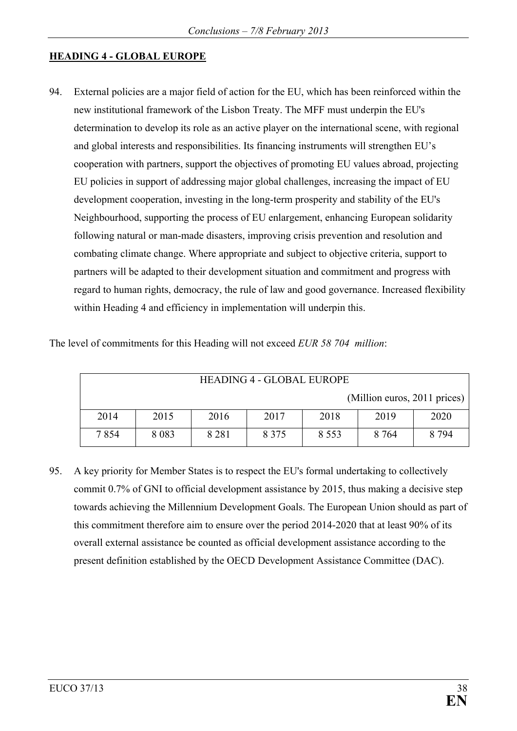#### **HEADING 4 - GLOBAL EUROPE**

94. External policies are a major field of action for the EU, which has been reinforced within the new institutional framework of the Lisbon Treaty. The MFF must underpin the EU's determination to develop its role as an active player on the international scene, with regional and global interests and responsibilities. Its financing instruments will strengthen EU's cooperation with partners, support the objectives of promoting EU values abroad, projecting EU policies in support of addressing major global challenges, increasing the impact of EU development cooperation, investing in the long-term prosperity and stability of the EU's Neighbourhood, supporting the process of EU enlargement, enhancing European solidarity following natural or man-made disasters, improving crisis prevention and resolution and combating climate change. Where appropriate and subject to objective criteria, support to partners will be adapted to their development situation and commitment and progress with regard to human rights, democracy, the rule of law and good governance. Increased flexibility within Heading 4 and efficiency in implementation will underpin this.

| <b>HEADING 4 - GLOBAL EUROPE</b> |         |         |         |         |                              |         |
|----------------------------------|---------|---------|---------|---------|------------------------------|---------|
|                                  |         |         |         |         | (Million euros, 2011 prices) |         |
| 2014                             | 2015    | 2016    | 2017    | 2018    | 2019                         | 2020    |
| 7854                             | 8 0 8 3 | 8 2 8 1 | 8 3 7 5 | 8 5 5 3 | 8 7 6 4                      | 8 7 9 4 |

The level of commitments for this Heading will not exceed *EUR 58 704 million*:

95. A key priority for Member States is to respect the EU's formal undertaking to collectively commit 0.7% of GNI to official development assistance by 2015, thus making a decisive step towards achieving the Millennium Development Goals. The European Union should as part of this commitment therefore aim to ensure over the period 2014-2020 that at least 90% of its overall external assistance be counted as official development assistance according to the present definition established by the OECD Development Assistance Committee (DAC).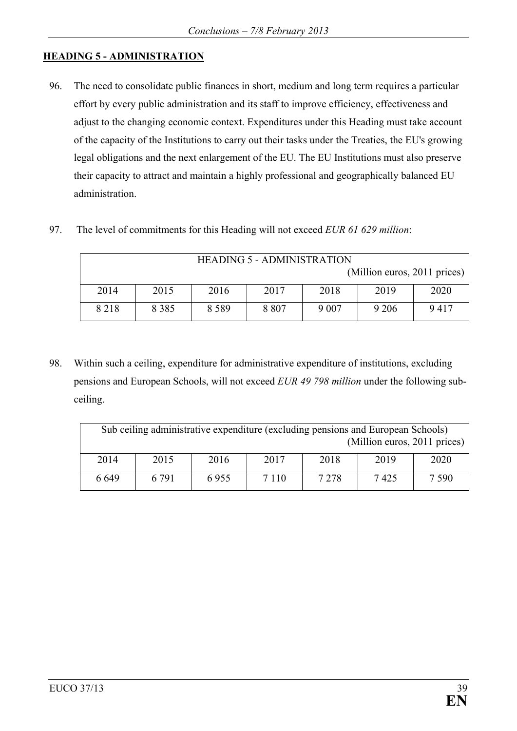## **HEADING 5 - ADMINISTRATION**

- 96. The need to consolidate public finances in short, medium and long term requires a particular effort by every public administration and its staff to improve efficiency, effectiveness and adjust to the changing economic context. Expenditures under this Heading must take account of the capacity of the Institutions to carry out their tasks under the Treaties, the EU's growing legal obligations and the next enlargement of the EU. The EU Institutions must also preserve their capacity to attract and maintain a highly professional and geographically balanced EU administration.
- 97. The level of commitments for this Heading will not exceed *EUR 61 629 million*:

| <b>HEADING 5 - ADMINISTRATION</b> |         |         |         |         |        |      |  |
|-----------------------------------|---------|---------|---------|---------|--------|------|--|
| (Million euros, 2011 prices)      |         |         |         |         |        |      |  |
| 2014                              | 2015    | 2016    | 2017    | 2018    | 2019   | 2020 |  |
| 8 2 1 8                           | 8 3 8 5 | 8 5 8 9 | 8 8 0 7 | 9 0 0 7 | 9 20 6 | 9417 |  |

98. Within such a ceiling, expenditure for administrative expenditure of institutions, excluding pensions and European Schools, will not exceed *EUR 49 798 million* under the following subceiling.

| Sub ceiling administrative expenditure (excluding pensions and European Schools)<br>(Million euros, 2011 prices) |         |      |         |         |      |         |  |
|------------------------------------------------------------------------------------------------------------------|---------|------|---------|---------|------|---------|--|
| 2014                                                                                                             | 2015    | 2016 | 2017    | 2018    | 2019 | 2020    |  |
| 6649                                                                                                             | 6 7 9 1 | 6955 | 7 1 1 0 | 7 2 7 8 | 7425 | 7 5 9 0 |  |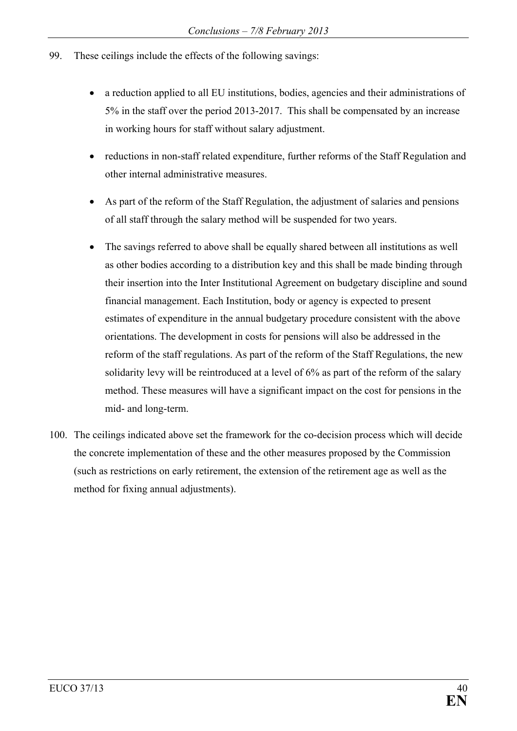- 99. These ceilings include the effects of the following savings:
	- a reduction applied to all EU institutions, bodies, agencies and their administrations of 5% in the staff over the period 2013-2017. This shall be compensated by an increase in working hours for staff without salary adjustment.
	- reductions in non-staff related expenditure, further reforms of the Staff Regulation and other internal administrative measures.
	- As part of the reform of the Staff Regulation, the adjustment of salaries and pensions of all staff through the salary method will be suspended for two years.
	- The savings referred to above shall be equally shared between all institutions as well as other bodies according to a distribution key and this shall be made binding through their insertion into the Inter Institutional Agreement on budgetary discipline and sound financial management. Each Institution, body or agency is expected to present estimates of expenditure in the annual budgetary procedure consistent with the above orientations. The development in costs for pensions will also be addressed in the reform of the staff regulations. As part of the reform of the Staff Regulations, the new solidarity levy will be reintroduced at a level of 6% as part of the reform of the salary method. These measures will have a significant impact on the cost for pensions in the mid- and long-term.
- 100. The ceilings indicated above set the framework for the co-decision process which will decide the concrete implementation of these and the other measures proposed by the Commission (such as restrictions on early retirement, the extension of the retirement age as well as the method for fixing annual adjustments).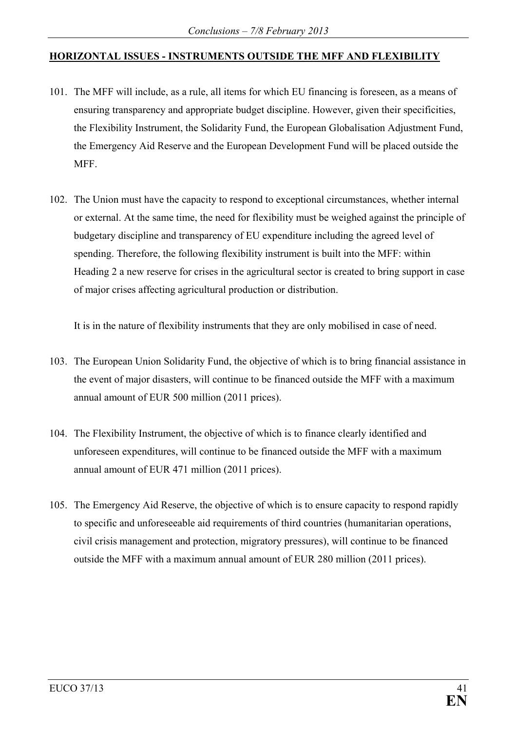## **HORIZONTAL ISSUES - INSTRUMENTS OUTSIDE THE MFF AND FLEXIBILITY**

- 101. The MFF will include, as a rule, all items for which EU financing is foreseen, as a means of ensuring transparency and appropriate budget discipline. However, given their specificities, the Flexibility Instrument, the Solidarity Fund, the European Globalisation Adjustment Fund, the Emergency Aid Reserve and the European Development Fund will be placed outside the MFF.
- 102. The Union must have the capacity to respond to exceptional circumstances, whether internal or external. At the same time, the need for flexibility must be weighed against the principle of budgetary discipline and transparency of EU expenditure including the agreed level of spending. Therefore, the following flexibility instrument is built into the MFF: within Heading 2 a new reserve for crises in the agricultural sector is created to bring support in case of major crises affecting agricultural production or distribution.

It is in the nature of flexibility instruments that they are only mobilised in case of need.

- 103. The European Union Solidarity Fund, the objective of which is to bring financial assistance in the event of major disasters, will continue to be financed outside the MFF with a maximum annual amount of EUR 500 million (2011 prices).
- 104. The Flexibility Instrument, the objective of which is to finance clearly identified and unforeseen expenditures, will continue to be financed outside the MFF with a maximum annual amount of EUR 471 million (2011 prices).
- 105. The Emergency Aid Reserve, the objective of which is to ensure capacity to respond rapidly to specific and unforeseeable aid requirements of third countries (humanitarian operations, civil crisis management and protection, migratory pressures), will continue to be financed outside the MFF with a maximum annual amount of EUR 280 million (2011 prices).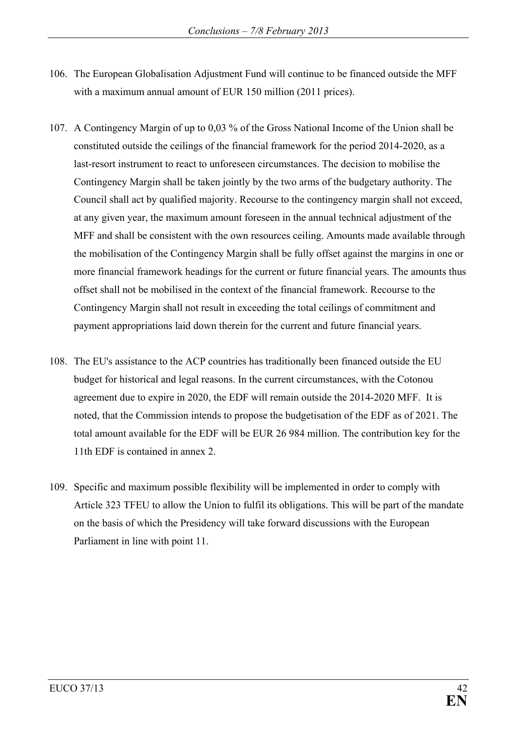- 106. The European Globalisation Adjustment Fund will continue to be financed outside the MFF with a maximum annual amount of EUR 150 million (2011 prices).
- 107. A Contingency Margin of up to 0,03 % of the Gross National Income of the Union shall be constituted outside the ceilings of the financial framework for the period 2014-2020, as a last-resort instrument to react to unforeseen circumstances. The decision to mobilise the Contingency Margin shall be taken jointly by the two arms of the budgetary authority. The Council shall act by qualified majority. Recourse to the contingency margin shall not exceed, at any given year, the maximum amount foreseen in the annual technical adjustment of the MFF and shall be consistent with the own resources ceiling. Amounts made available through the mobilisation of the Contingency Margin shall be fully offset against the margins in one or more financial framework headings for the current or future financial years. The amounts thus offset shall not be mobilised in the context of the financial framework. Recourse to the Contingency Margin shall not result in exceeding the total ceilings of commitment and payment appropriations laid down therein for the current and future financial years.
- 108. The EU's assistance to the ACP countries has traditionally been financed outside the EU budget for historical and legal reasons. In the current circumstances, with the Cotonou agreement due to expire in 2020, the EDF will remain outside the 2014-2020 MFF.It is noted, that the Commission intends to propose the budgetisation of the EDF as of 2021. The total amount available for the EDF will be EUR 26 984 million. The contribution key for the 11th EDF is contained in annex 2.
- 109. Specific and maximum possible flexibility will be implemented in order to comply with Article 323 TFEU to allow the Union to fulfil its obligations. This will be part of the mandate on the basis of which the Presidency will take forward discussions with the European Parliament in line with point 11.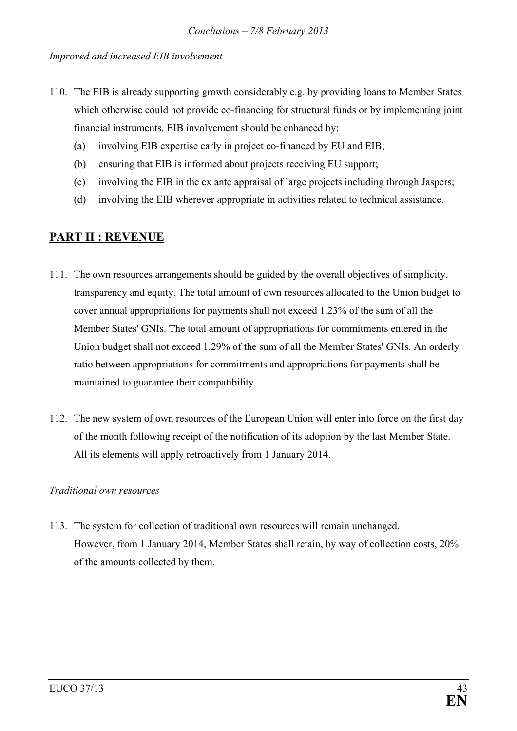#### *Improved and increased EIB involvement*

- 110. The EIB is already supporting growth considerably e.g. by providing loans to Member States which otherwise could not provide co-financing for structural funds or by implementing joint financial instruments. EIB involvement should be enhanced by:
	- (a) involving EIB expertise early in project co-financed by EU and EIB;
	- (b) ensuring that EIB is informed about projects receiving EU support;
	- (c) involving the EIB in the ex ante appraisal of large projects including through Jaspers;
	- (d) involving the EIB wherever appropriate in activities related to technical assistance.

## **PART II : REVENUE**

- 111. The own resources arrangements should be guided by the overall objectives of simplicity, transparency and equity. The total amount of own resources allocated to the Union budget to cover annual appropriations for payments shall not exceed 1.23% of the sum of all the Member States' GNIs. The total amount of appropriations for commitments entered in the Union budget shall not exceed 1.29% of the sum of all the Member States' GNIs. An orderly ratio between appropriations for commitments and appropriations for payments shall be maintained to guarantee their compatibility.
- 112. The new system of own resources of the European Union will enter into force on the first day of the month following receipt of the notification of its adoption by the last Member State. All its elements will apply retroactively from 1 January 2014.

#### *Traditional own resources*

113. The system for collection of traditional own resources will remain unchanged. However, from 1 January 2014, Member States shall retain, by way of collection costs, 20% of the amounts collected by them.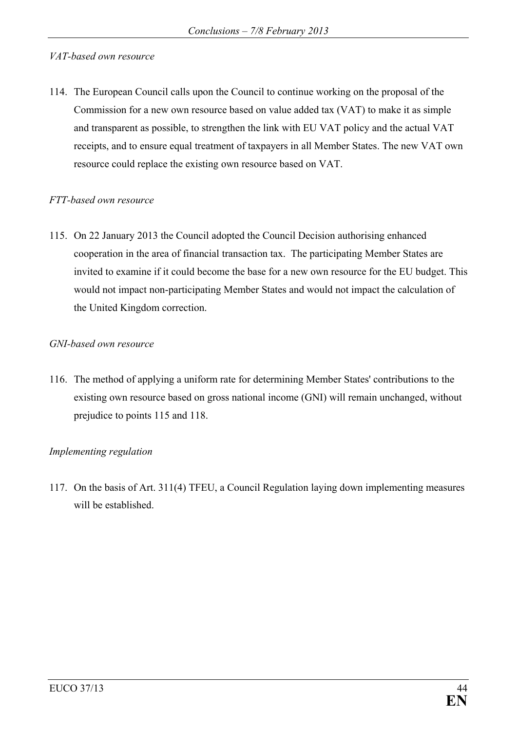#### *VAT-based own resource*

114. The European Council calls upon the Council to continue working on the proposal of the Commission for a new own resource based on value added tax (VAT) to make it as simple and transparent as possible, to strengthen the link with EU VAT policy and the actual VAT receipts, and to ensure equal treatment of taxpayers in all Member States. The new VAT own resource could replace the existing own resource based on VAT.

#### *FTT-based own resource*

115. On 22 January 2013 the Council adopted the Council Decision authorising enhanced cooperation in the area of financial transaction tax. The participating Member States are invited to examine if it could become the base for a new own resource for the EU budget. This would not impact non-participating Member States and would not impact the calculation of the United Kingdom correction.

#### *GNI-based own resource*

116. The method of applying a uniform rate for determining Member States' contributions to the existing own resource based on gross national income (GNI) will remain unchanged, without prejudice to points 115 and 118.

### *Implementing regulation*

117. On the basis of Art. 311(4) TFEU, a Council Regulation laying down implementing measures will be established.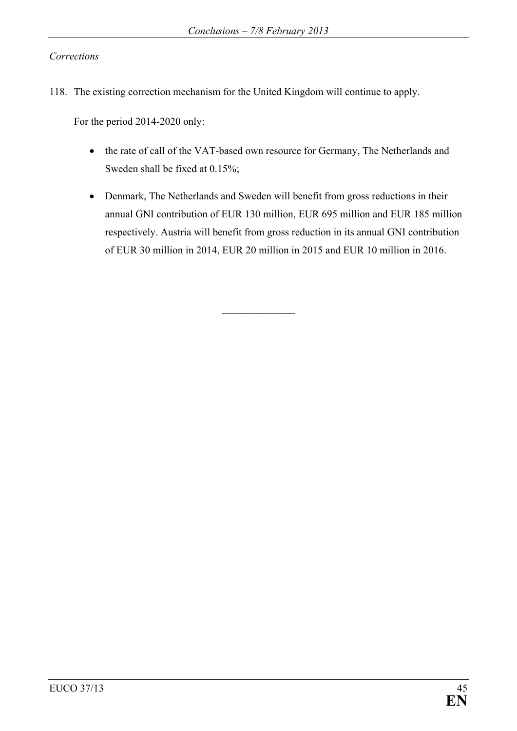#### *Corrections*

118. The existing correction mechanism for the United Kingdom will continue to apply.

For the period 2014-2020 only:

- the rate of call of the VAT-based own resource for Germany, The Netherlands and Sweden shall be fixed at 0.15%;
- Denmark, The Netherlands and Sweden will benefit from gross reductions in their annual GNI contribution of EUR 130 million, EUR 695 million and EUR 185 million respectively. Austria will benefit from gross reduction in its annual GNI contribution of EUR 30 million in 2014, EUR 20 million in 2015 and EUR 10 million in 2016.

 $\frac{1}{2}$  ,  $\frac{1}{2}$  ,  $\frac{1}{2}$  ,  $\frac{1}{2}$  ,  $\frac{1}{2}$  ,  $\frac{1}{2}$  ,  $\frac{1}{2}$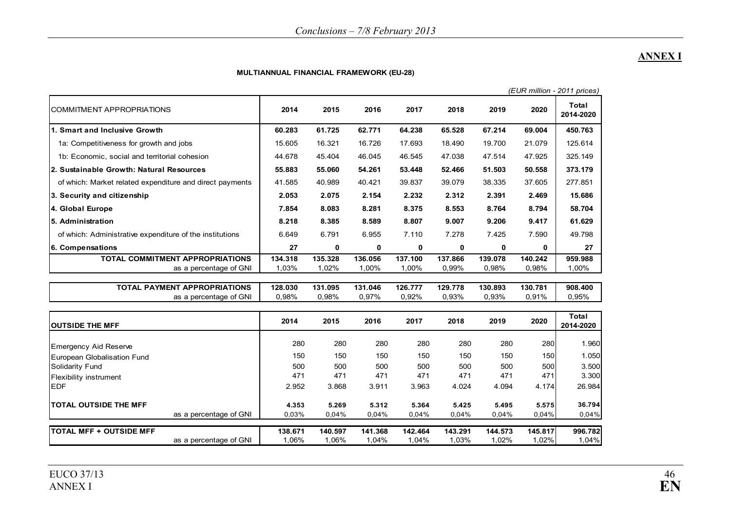## **ANNEX I**

#### **MULTIANNUAL FINANCIAL FRAMEWORK (EU-28)**

|                                                          |         |         |         |             |         |         |         | (EUR million - 2011 prices) |
|----------------------------------------------------------|---------|---------|---------|-------------|---------|---------|---------|-----------------------------|
| <b>COMMITMENT APPROPRIATIONS</b>                         | 2014    | 2015    | 2016    | 2017        | 2018    | 2019    | 2020    | Total<br>2014-2020          |
| 1. Smart and Inclusive Growth                            | 60.283  | 61.725  | 62.771  | 64.238      | 65.528  | 67.214  | 69.004  | 450.763                     |
| 1a: Competitiveness for growth and jobs                  | 15.605  | 16.321  | 16.726  | 17.693      | 18.490  | 19.700  | 21.079  | 125.614                     |
| 1b: Economic, social and territorial cohesion            | 44.678  | 45.404  | 46.045  | 46.545      | 47.038  | 47.514  | 47.925  | 325.149                     |
| 2. Sustainable Growth: Natural Resources                 | 55.883  | 55.060  | 54.261  | 53.448      | 52.466  | 51.503  | 50.558  | 373.179                     |
| of which: Market related expenditure and direct payments | 41.585  | 40.989  | 40.421  | 39.837      | 39.079  | 38.335  | 37.605  | 277.851                     |
| 3. Security and citizenship                              | 2.053   | 2.075   | 2.154   | 2.232       | 2.312   | 2.391   | 2.469   | 15.686                      |
| 4. Global Europe                                         | 7.854   | 8.083   | 8.281   | 8.375       | 8.553   | 8.764   | 8.794   | 58.704                      |
| 5. Administration                                        | 8.218   | 8.385   | 8.589   | 8.807       | 9.007   | 9.206   | 9.417   | 61.629                      |
| of which: Administrative expenditure of the institutions | 6.649   | 6.791   | 6.955   | 7.110       | 7.278   | 7.425   | 7.590   | 49.798                      |
| 6. Compensations                                         | 27      | 0       | 0       | $\mathbf 0$ | 0       | 0       | 0       | 27                          |
| <b>TOTAL COMMITMENT APPROPRIATIONS</b>                   | 134.318 | 135.328 | 136.056 | 137.100     | 137.866 | 139.078 | 140.242 | 959.988                     |
| as a percentage of GNI                                   | 1,03%   | 1,02%   | 1,00%   | 1,00%       | 0,99%   | 0,98%   | 0,98%   | 1,00%                       |
| <b>TOTAL PAYMENT APPROPRIATIONS</b>                      | 128.030 | 131.095 | 131.046 | 126.777     | 129.778 | 130.893 | 130.781 | 908.400                     |
| as a percentage of GNI                                   | 0.98%   | 0,98%   | 0,97%   | 0,92%       | 0,93%   | 0,93%   | 0,91%   | 0,95%                       |
|                                                          |         |         |         |             |         |         |         | <b>Total</b>                |
| <b>OUTSIDE THE MFF</b>                                   | 2014    | 2015    | 2016    | 2017        | 2018    | 2019    | 2020    | 2014-2020                   |
| <b>Emergency Aid Reserve</b>                             | 280     | 280     | 280     | 280         | 280     | 280     | 280     | 1.960                       |
| European Globalisation Fund                              | 150     | 150     | 150     | 150         | 150     | 150     | 150     | 1.050                       |
| Solidarity Fund                                          | 500     | 500     | 500     | 500         | 500     | 500     | 500     | 3.500                       |
| <b>Flexibility instrument</b>                            | 471     | 471     | 471     | 471         | 471     | 471     | 471     | 3.300                       |
| <b>EDF</b>                                               | 2.952   | 3.868   | 3.911   | 3.963       | 4.024   | 4.094   | 4.174   | 26.984                      |
| <b>TOTAL OUTSIDE THE MFF</b>                             | 4.353   | 5.269   | 5.312   | 5.364       | 5.425   | 5.495   | 5.575   | 36.794                      |
| as a percentage of GNI                                   | 0,03%   | 0,04%   | 0,04%   | 0,04%       | 0,04%   | 0,04%   | 0,04%   | 0,04%                       |
| <b>TOTAL MFF + OUTSIDE MFF</b>                           | 138.671 | 140.597 | 141.368 | 142.464     | 143.291 | 144.573 | 145.817 | 996.782                     |
| as a percentage of GNI                                   | 1,06%   | 1,06%   | 1,04%   | 1,04%       | 1,03%   | 1,02%   | 1,02%   | 1,04%                       |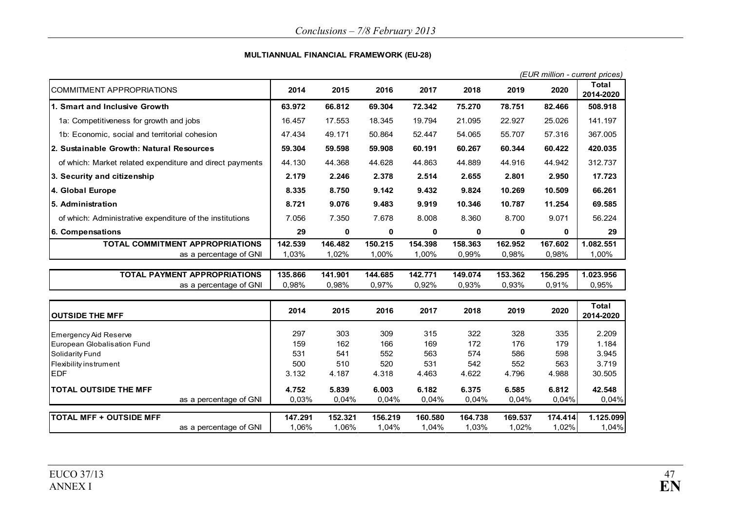#### **MULTIANNUAL FINANCIAL FRAMEWORK (EU-28)**

|                                                          |         |         |         |         |         |             |         | (EUR million - current prices) |
|----------------------------------------------------------|---------|---------|---------|---------|---------|-------------|---------|--------------------------------|
| <b>COMMITMENT APPROPRIATIONS</b>                         | 2014    | 2015    | 2016    | 2017    | 2018    | 2019        | 2020    | Total<br>2014-2020             |
| 1. Smart and Inclusive Growth                            | 63.972  | 66.812  | 69.304  | 72.342  | 75.270  | 78.751      | 82.466  | 508.918                        |
| 1a: Competitiveness for growth and jobs                  | 16.457  | 17.553  | 18.345  | 19.794  | 21.095  | 22.927      | 25.026  | 141.197                        |
| 1b: Economic, social and territorial cohesion            | 47.434  | 49.171  | 50.864  | 52.447  | 54.065  | 55.707      | 57.316  | 367.005                        |
| 2. Sustainable Growth: Natural Resources                 | 59.304  | 59.598  | 59.908  | 60.191  | 60.267  | 60.344      | 60.422  | 420.035                        |
| of which: Market related expenditure and direct payments | 44.130  | 44.368  | 44.628  | 44.863  | 44.889  | 44.916      | 44.942  | 312.737                        |
| 3. Security and citizenship                              | 2.179   | 2.246   | 2.378   | 2.514   | 2.655   | 2.801       | 2.950   | 17.723                         |
| 4. Global Europe                                         | 8.335   | 8.750   | 9.142   | 9.432   | 9.824   | 10.269      | 10.509  | 66.261                         |
| 5. Administration                                        | 8.721   | 9.076   | 9.483   | 9.919   | 10.346  | 10.787      | 11.254  | 69.585                         |
| of which: Administrative expenditure of the institutions | 7.056   | 7.350   | 7.678   | 8.008   | 8.360   | 8.700       | 9.071   | 56.224                         |
| 6. Compensations                                         | 29      | 0       | 0       | 0       | 0       | $\mathbf 0$ | 0       | 29                             |
| TOTAL COMMITMENT APPROPRIATIONS                          | 142.539 | 146.482 | 150.215 | 154.398 | 158.363 | 162.952     | 167.602 | 1.082.551                      |
| as a percentage of GNI                                   | 1,03%   | 1,02%   | 1,00%   | 1,00%   | 0,99%   | 0,98%       | 0,98%   | 1,00%                          |
| <b>TOTAL PAYMENT APPROPRIATIONS</b>                      | 135.866 | 141.901 | 144.685 | 142.771 | 149.074 | 153.362     | 156.295 | 1.023.956                      |
| as a percentage of GNI                                   | 0,98%   | 0,98%   | 0,97%   | 0,92%   | 0,93%   | 0,93%       | 0,91%   | 0,95%                          |
|                                                          |         |         |         |         |         |             |         | <b>Total</b>                   |
| <b>OUTSIDE THE MFF</b>                                   | 2014    | 2015    | 2016    | 2017    | 2018    | 2019        | 2020    | 2014-2020                      |
| Emergency Aid Reserve                                    | 297     | 303     | 309     | 315     | 322     | 328         | 335     | 2.209                          |
| European Globalisation Fund                              | 159     | 162     | 166     | 169     | 172     | 176         | 179     | 1.184                          |
| Solidarity Fund                                          | 531     | 541     | 552     | 563     | 574     | 586         | 598     | 3.945                          |
| Flexibility instrument                                   | 500     | 510     | 520     | 531     | 542     | 552         | 563     | 3.719                          |
| <b>EDF</b>                                               | 3.132   | 4.187   | 4.318   | 4.463   | 4.622   | 4.796       | 4.988   | 30.505                         |
| <b>TOTAL OUTSIDE THE MFF</b>                             | 4.752   | 5.839   | 6.003   | 6.182   | 6.375   | 6.585       | 6.812   | 42.548                         |
| as a percentage of GNI                                   | 0,03%   | 0,04%   | 0,04%   | 0,04%   | 0,04%   | 0,04%       | 0,04%   | 0,04%                          |
| <b>TOTAL MFF + OUTSIDE MFF</b>                           | 147.291 | 152.321 | 156.219 | 160.580 | 164.738 | 169.537     | 174.414 | 1.125.099                      |
| as a percentage of GNI                                   | 1,06%   | 1,06%   | 1,04%   | 1,04%   | 1,03%   | 1,02%       | 1,02%   | 1,04%                          |